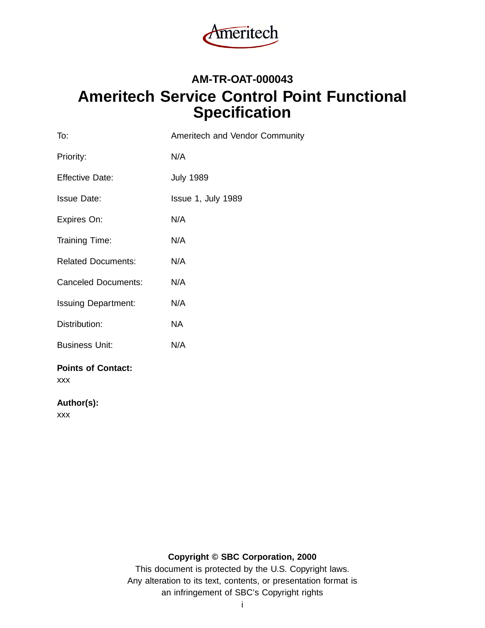

# **AM-TR-OAT-000043 Ameritech Service Control Point Functional Specification**

| To:                                     | Ameritech and Vendor Community |
|-----------------------------------------|--------------------------------|
| Priority:                               | N/A                            |
| <b>Effective Date:</b>                  | <b>July 1989</b>               |
| <b>Issue Date:</b>                      | Issue 1, July 1989             |
| Expires On:                             | N/A                            |
| Training Time:                          | N/A                            |
| <b>Related Documents:</b>               | N/A                            |
| <b>Canceled Documents:</b>              | N/A                            |
| <b>Issuing Department:</b>              | N/A                            |
| Distribution:                           | <b>NA</b>                      |
| <b>Business Unit:</b>                   | N/A                            |
| <b>Points of Contact:</b><br><b>XXX</b> |                                |

**Author(s):**

xxx

## **Copyright © SBC Corporation, 2000**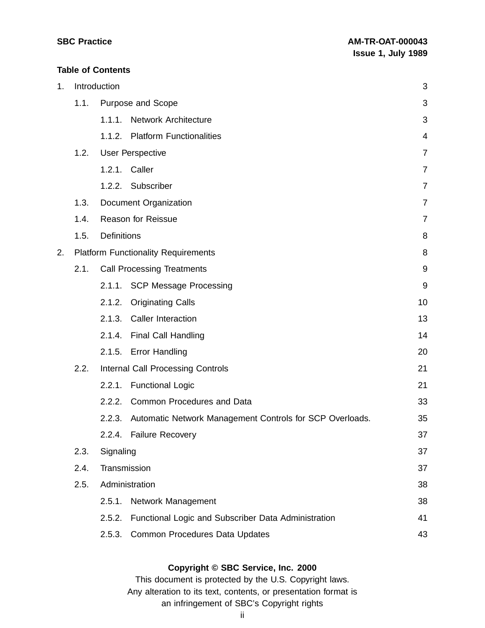#### **Table of Contents**

| 1. |      | Introduction                                                       | 3              |
|----|------|--------------------------------------------------------------------|----------------|
|    | 1.1. | Purpose and Scope                                                  | 3              |
|    |      | 1.1.1.<br><b>Network Architecture</b>                              | 3              |
|    |      | 1.1.2. Platform Functionalities                                    | $\overline{4}$ |
|    | 1.2. | <b>User Perspective</b>                                            | 7              |
|    |      | 1.2.1. Caller                                                      | $\overline{7}$ |
|    |      | 1.2.2. Subscriber                                                  | $\overline{7}$ |
|    | 1.3. | <b>Document Organization</b>                                       | $\overline{7}$ |
|    | 1.4. | <b>Reason for Reissue</b>                                          | 7              |
|    | 1.5. | Definitions                                                        | 8              |
| 2. |      | <b>Platform Functionality Requirements</b>                         | 8              |
|    | 2.1. | <b>Call Processing Treatments</b>                                  | $9\,$          |
|    |      | 2.1.1. SCP Message Processing                                      | 9              |
|    |      | 2.1.2.<br><b>Originating Calls</b>                                 | 10             |
|    |      | 2.1.3. Caller Interaction                                          | 13             |
|    |      | 2.1.4.<br><b>Final Call Handling</b>                               | 14             |
|    |      | 2.1.5. Error Handling                                              | 20             |
|    | 2.2. | <b>Internal Call Processing Controls</b>                           | 21             |
|    |      | <b>Functional Logic</b><br>2.2.1.                                  | 21             |
|    |      | 2.2.2. Common Procedures and Data                                  | 33             |
|    |      | Automatic Network Management Controls for SCP Overloads.<br>2.2.3. | 35             |
|    |      | 2.2.4.<br><b>Failure Recovery</b>                                  | 37             |
|    | 2.3. | Signaling                                                          | 37             |
|    | 2.4. | Transmission                                                       | 37             |
|    | 2.5. | Administration                                                     | 38             |
|    |      | 2.5.1.<br>Network Management                                       | 38             |
|    |      | Functional Logic and Subscriber Data Administration<br>2.5.2.      | 41             |
|    |      | 2.5.3.<br>Common Procedures Data Updates                           | 43             |

## **Copyright © SBC Service, Inc. 2000**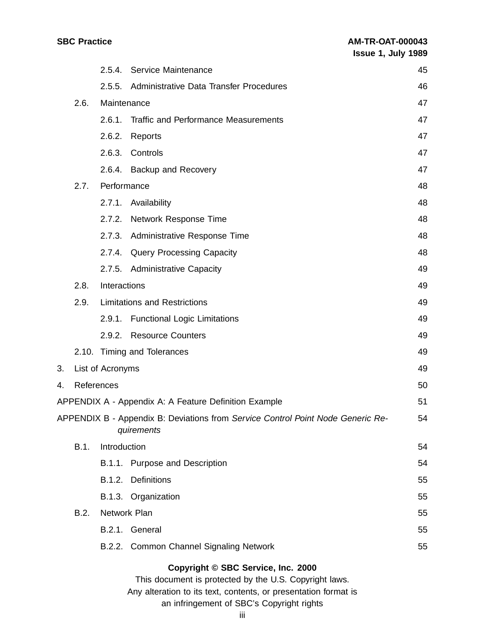|  | <b>SBC Practice</b> |
|--|---------------------|
|--|---------------------|

|    |             |                  | 2.5.4. Service Maintenance                                                                    | 45 |
|----|-------------|------------------|-----------------------------------------------------------------------------------------------|----|
|    |             | 2.5.5.           | Administrative Data Transfer Procedures                                                       | 46 |
|    | 2.6.        | Maintenance      |                                                                                               | 47 |
|    |             | 2.6.1.           | <b>Traffic and Performance Measurements</b>                                                   | 47 |
|    |             | 2.6.2.           | Reports                                                                                       | 47 |
|    |             | 2.6.3.           | Controls                                                                                      | 47 |
|    |             |                  | 2.6.4. Backup and Recovery                                                                    | 47 |
|    | 2.7.        | Performance      |                                                                                               | 48 |
|    |             | 2.7.1.           | Availability                                                                                  | 48 |
|    |             | 2.7.2.           | <b>Network Response Time</b>                                                                  | 48 |
|    |             | 2.7.3.           | <b>Administrative Response Time</b>                                                           | 48 |
|    |             |                  | 2.7.4. Query Processing Capacity                                                              | 48 |
|    |             |                  | 2.7.5. Administrative Capacity                                                                | 49 |
|    | 2.8.        | Interactions     |                                                                                               | 49 |
|    | 2.9.        |                  | <b>Limitations and Restrictions</b>                                                           | 49 |
|    |             |                  | 2.9.1. Functional Logic Limitations                                                           | 49 |
|    |             |                  | 2.9.2. Resource Counters                                                                      | 49 |
|    |             |                  | 2.10. Timing and Tolerances                                                                   | 49 |
| 3. |             | List of Acronyms |                                                                                               | 49 |
| 4. | References  |                  |                                                                                               | 50 |
|    |             |                  | <b>APPENDIX A - Appendix A: A Feature Definition Example</b>                                  | 51 |
|    |             |                  | APPENDIX B - Appendix B: Deviations from Service Control Point Node Generic Re-<br>quirements | 54 |
|    | <b>B.1.</b> | Introduction     |                                                                                               | 54 |
|    |             |                  | B.1.1. Purpose and Description                                                                | 54 |
|    |             |                  | B.1.2. Definitions                                                                            | 55 |
|    |             |                  | B.1.3. Organization                                                                           | 55 |
|    | B.2.        | Network Plan     |                                                                                               | 55 |
|    |             |                  | B.2.1. General                                                                                | 55 |
|    |             |                  | B.2.2. Common Channel Signaling Network                                                       | 55 |
|    |             |                  |                                                                                               |    |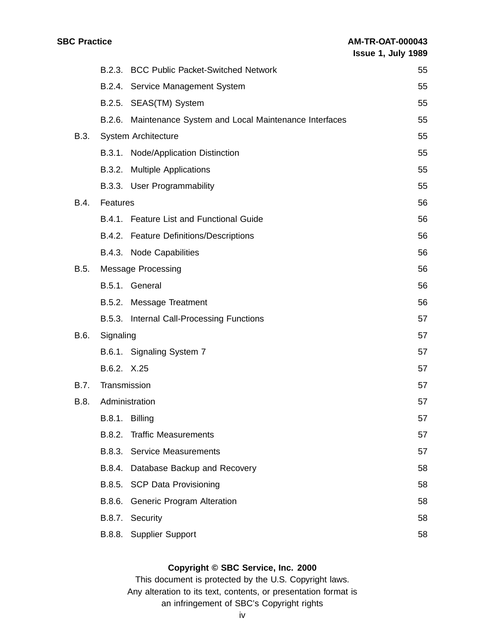|             |              | B.2.3. BCC Public Packet-Switched Network                  | 55 |
|-------------|--------------|------------------------------------------------------------|----|
|             |              | B.2.4. Service Management System                           | 55 |
|             |              | B.2.5. SEAS(TM) System                                     | 55 |
|             |              | B.2.6. Maintenance System and Local Maintenance Interfaces | 55 |
| <b>B.3.</b> |              | <b>System Architecture</b>                                 | 55 |
|             |              | B.3.1. Node/Application Distinction                        | 55 |
|             |              | B.3.2. Multiple Applications                               | 55 |
|             |              | B.3.3. User Programmability                                | 55 |
| B.4.        | Features     |                                                            | 56 |
|             |              | B.4.1. Feature List and Functional Guide                   | 56 |
|             |              | B.4.2. Feature Definitions/Descriptions                    | 56 |
|             |              | B.4.3. Node Capabilities                                   | 56 |
| <b>B.5.</b> |              | <b>Message Processing</b>                                  | 56 |
|             |              | B.5.1. General                                             | 56 |
|             |              | B.5.2. Message Treatment                                   | 56 |
|             |              | B.5.3. Internal Call-Processing Functions                  | 57 |
| B.6.        | Signaling    |                                                            | 57 |
|             |              | B.6.1. Signaling System 7                                  | 57 |
|             | B.6.2. X.25  |                                                            | 57 |
| <b>B.7.</b> | Transmission |                                                            | 57 |
| B.8.        |              | Administration                                             | 57 |
|             |              | B.8.1. Billing                                             | 57 |
|             | B.8.2.       | <b>Traffic Measurements</b>                                | 57 |
|             | B.8.3.       | <b>Service Measurements</b>                                | 57 |
|             | B.8.4.       | Database Backup and Recovery                               | 58 |
|             |              | B.8.5. SCP Data Provisioning                               | 58 |
|             | B.8.6.       | Generic Program Alteration                                 | 58 |
|             | B.8.7.       | Security                                                   | 58 |
|             | B.8.8.       | <b>Supplier Support</b>                                    | 58 |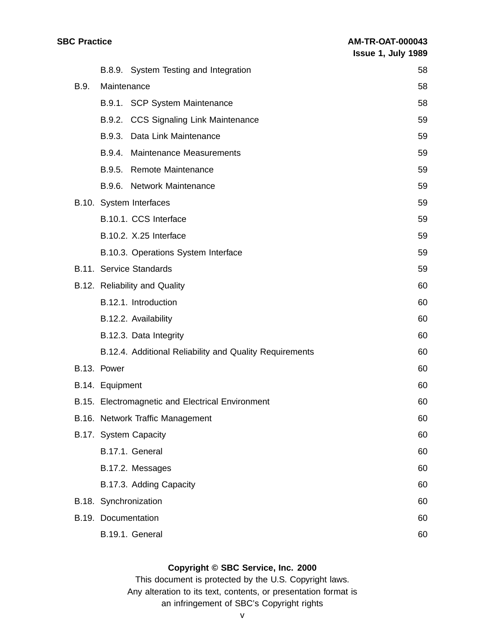|      |                 | B.8.9. System Testing and Integration                   | 58 |
|------|-----------------|---------------------------------------------------------|----|
| B.9. | Maintenance     |                                                         | 58 |
|      |                 | B.9.1. SCP System Maintenance                           | 58 |
|      |                 | B.9.2. CCS Signaling Link Maintenance                   | 59 |
|      | B.9.3.          | Data Link Maintenance                                   | 59 |
|      | B.9.4.          | Maintenance Measurements                                | 59 |
|      | B.9.5.          | <b>Remote Maintenance</b>                               | 59 |
|      | B.9.6.          | <b>Network Maintenance</b>                              | 59 |
|      |                 | B.10. System Interfaces                                 | 59 |
|      |                 | B.10.1. CCS Interface                                   | 59 |
|      |                 | B.10.2. X.25 Interface                                  | 59 |
|      |                 | B.10.3. Operations System Interface                     | 59 |
|      |                 | <b>B.11. Service Standards</b>                          | 59 |
|      |                 | B.12. Reliability and Quality                           | 60 |
|      |                 | B.12.1. Introduction                                    | 60 |
|      |                 | B.12.2. Availability                                    | 60 |
|      |                 | B.12.3. Data Integrity                                  | 60 |
|      |                 | B.12.4. Additional Reliability and Quality Requirements | 60 |
|      | B.13. Power     |                                                         | 60 |
|      | B.14. Equipment |                                                         | 60 |
|      |                 | B.15. Electromagnetic and Electrical Environment        | 60 |
|      |                 | B.16. Network Traffic Management                        | 60 |
|      |                 | B.17. System Capacity                                   | 60 |
|      |                 | B.17.1. General                                         | 60 |
|      |                 | B.17.2. Messages                                        | 60 |
|      |                 | B.17.3. Adding Capacity                                 | 60 |
|      |                 | B.18. Synchronization                                   | 60 |
|      |                 | B.19. Documentation                                     | 60 |
|      |                 | B.19.1. General                                         | 60 |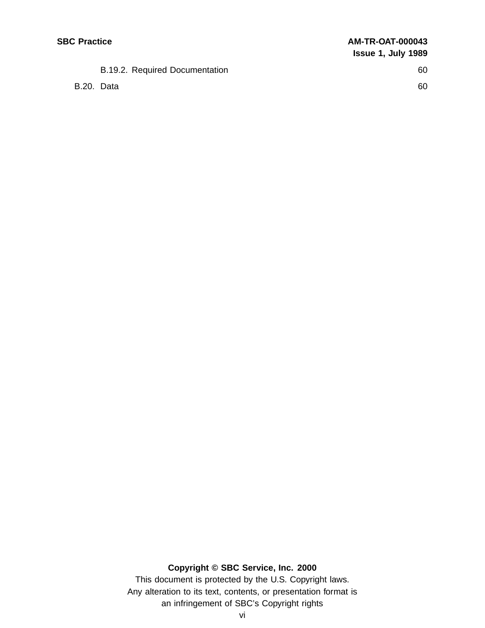## B.19.2. Required Documentation 60

B.20. Data 60

## **Copyright © SBC Service, Inc. 2000**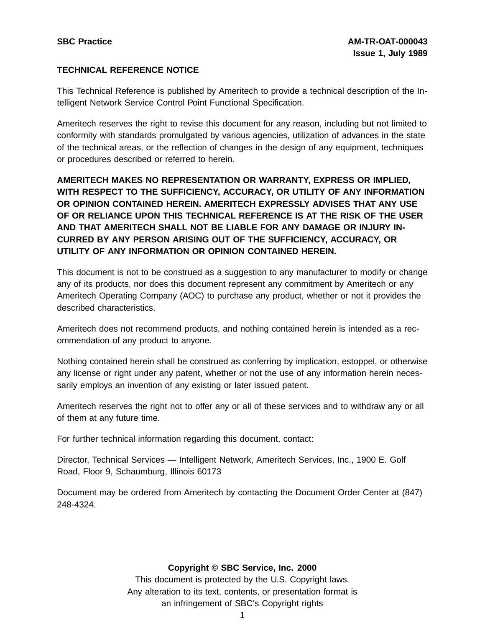## **TECHNICAL REFERENCE NOTICE**

This Technical Reference is published by Ameritech to provide a technical description of the Intelligent Network Service Control Point Functional Specification.

Ameritech reserves the right to revise this document for any reason, including but not limited to conformity with standards promulgated by various agencies, utilization of advances in the state of the technical areas, or the reflection of changes in the design of any equipment, techniques or procedures described or referred to herein.

**AMERITECH MAKES NO REPRESENTATION OR WARRANTY, EXPRESS OR IMPLIED, WITH RESPECT TO THE SUFFICIENCY, ACCURACY, OR UTILITY OF ANY INFORMATION OR OPINION CONTAINED HEREIN. AMERITECH EXPRESSLY ADVISES THAT ANY USE OF OR RELIANCE UPON THIS TECHNICAL REFERENCE IS AT THE RISK OF THE USER AND THAT AMERITECH SHALL NOT BE LIABLE FOR ANY DAMAGE OR INJURY IN-CURRED BY ANY PERSON ARISING OUT OF THE SUFFICIENCY, ACCURACY, OR UTILITY OF ANY INFORMATION OR OPINION CONTAINED HEREIN.**

This document is not to be construed as a suggestion to any manufacturer to modify or change any of its products, nor does this document represent any commitment by Ameritech or any Ameritech Operating Company (AOC) to purchase any product, whether or not it provides the described characteristics.

Ameritech does not recommend products, and nothing contained herein is intended as a recommendation of any product to anyone.

Nothing contained herein shall be construed as conferring by implication, estoppel, or otherwise any license or right under any patent, whether or not the use of any information herein necessarily employs an invention of any existing or later issued patent.

Ameritech reserves the right not to offer any or all of these services and to withdraw any or all of them at any future time.

For further technical information regarding this document, contact:

Director, Technical Services — Intelligent Network, Ameritech Services, Inc., 1900 E. Golf Road, Floor 9, Schaumburg, Illinois 60173

Document may be ordered from Ameritech by contacting the Document Order Center at (847) 248-4324.

## **Copyright © SBC Service, Inc. 2000**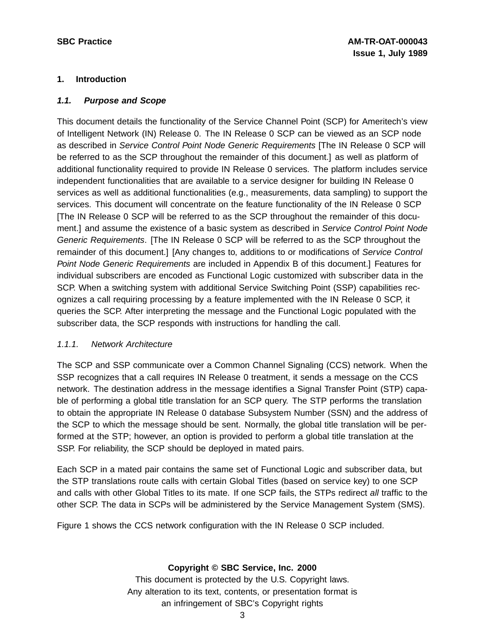## **1. Introduction**

## **1.1. Purpose and Scope**

This document details the functionality of the Service Channel Point (SCP) for Ameritech's view of Intelligent Network (IN) Release 0. The IN Release 0 SCP can be viewed as an SCP node as described in Service Control Point Node Generic Requirements [The IN Release 0 SCP will be referred to as the SCP throughout the remainder of this document.] as well as platform of additional functionality required to provide IN Release 0 services. The platform includes service independent functionalities that are available to a service designer for building IN Release 0 services as well as additional functionalities (e.g., measurements, data sampling) to support the services. This document will concentrate on the feature functionality of the IN Release 0 SCP [The IN Release 0 SCP will be referred to as the SCP throughout the remainder of this document.] and assume the existence of a basic system as described in Service Control Point Node Generic Requirements. [The IN Release 0 SCP will be referred to as the SCP throughout the remainder of this document.] [Any changes to, additions to or modifications of Service Control Point Node Generic Requirements are included in Appendix B of this document.] Features for individual subscribers are encoded as Functional Logic customized with subscriber data in the SCP. When a switching system with additional Service Switching Point (SSP) capabilities recognizes a call requiring processing by a feature implemented with the IN Release 0 SCP, it queries the SCP. After interpreting the message and the Functional Logic populated with the subscriber data, the SCP responds with instructions for handling the call.

## 1.1.1. Network Architecture

The SCP and SSP communicate over a Common Channel Signaling (CCS) network. When the SSP recognizes that a call requires IN Release 0 treatment, it sends a message on the CCS network. The destination address in the message identifies a Signal Transfer Point (STP) capable of performing a global title translation for an SCP query. The STP performs the translation to obtain the appropriate IN Release 0 database Subsystem Number (SSN) and the address of the SCP to which the message should be sent. Normally, the global title translation will be performed at the STP; however, an option is provided to perform a global title translation at the SSP. For reliability, the SCP should be deployed in mated pairs.

Each SCP in a mated pair contains the same set of Functional Logic and subscriber data, but the STP translations route calls with certain Global Titles (based on service key) to one SCP and calls with other Global Titles to its mate. If one SCP fails, the STPs redirect all traffic to the other SCP. The data in SCPs will be administered by the Service Management System (SMS).

Figure 1 shows the CCS network configuration with the IN Release 0 SCP included.

## **Copyright © SBC Service, Inc. 2000**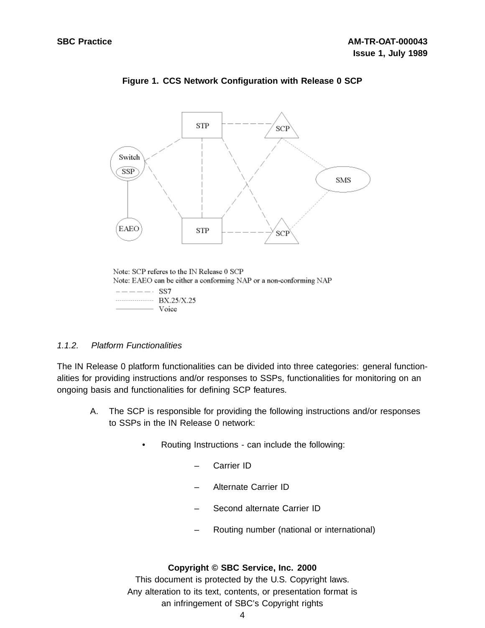

## **Figure 1. CCS Network Configuration with Release 0 SCP**

## 1.1.2. Platform Functionalities

The IN Release 0 platform functionalities can be divided into three categories: general functionalities for providing instructions and/or responses to SSPs, functionalities for monitoring on an ongoing basis and functionalities for defining SCP features.

- A. The SCP is responsible for providing the following instructions and/or responses to SSPs in the IN Release 0 network:
	- Routing Instructions can include the following:
		- Carrier ID
		- Alternate Carrier ID
		- Second alternate Carrier ID
		- Routing number (national or international)

#### **Copyright © SBC Service, Inc. 2000**

Note: SCP referes to the IN Release 0 SCP Note: EAEO can be either a conforming NAP or a non-conforming NAP  $---$  SS7 BX.25/X.25 - Voice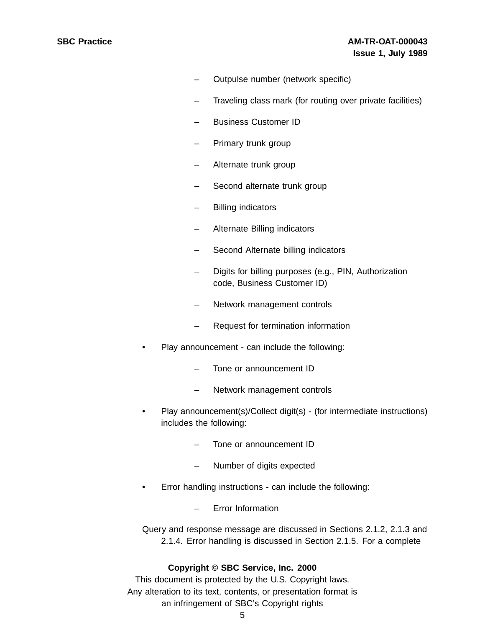- Outpulse number (network specific)
- Traveling class mark (for routing over private facilities)
- Business Customer ID
- Primary trunk group
- Alternate trunk group
- Second alternate trunk group
- Billing indicators
- Alternate Billing indicators
- Second Alternate billing indicators
- Digits for billing purposes (e.g., PIN, Authorization code, Business Customer ID)
- Network management controls
- Request for termination information
- Play announcement can include the following:
	- Tone or announcement ID
	- Network management controls
- Play announcement(s)/Collect digit(s) (for intermediate instructions) includes the following:
	- Tone or announcement ID
	- Number of digits expected
- Error handling instructions can include the following:
	- Error Information

Query and response message are discussed in Sections 2.1.2, 2.1.3 and 2.1.4. Error handling is discussed in Section 2.1.5. For a complete

#### **Copyright © SBC Service, Inc. 2000**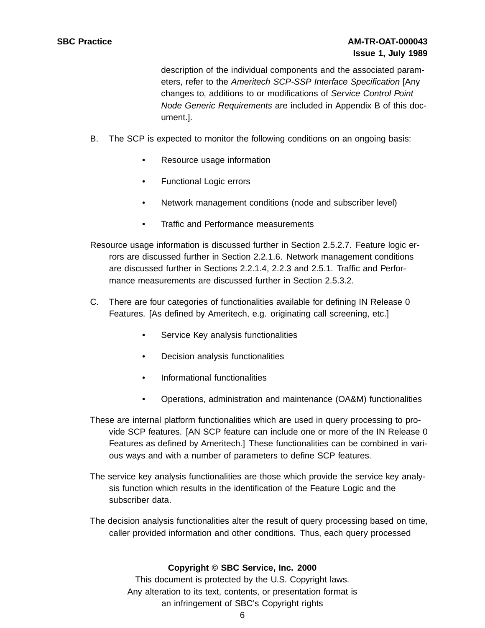description of the individual components and the associated parameters, refer to the Ameritech SCP-SSP Interface Specification [Any changes to, additions to or modifications of Service Control Point Node Generic Requirements are included in Appendix B of this document.].

- B. The SCP is expected to monitor the following conditions on an ongoing basis:
	- Resource usage information
	- Functional Logic errors
	- Network management conditions (node and subscriber level)
	- Traffic and Performance measurements

Resource usage information is discussed further in Section 2.5.2.7. Feature logic errors are discussed further in Section 2.2.1.6. Network management conditions are discussed further in Sections 2.2.1.4, 2.2.3 and 2.5.1. Traffic and Performance measurements are discussed further in Section 2.5.3.2.

- C. There are four categories of functionalities available for defining IN Release 0 Features. [As defined by Ameritech, e.g. originating call screening, etc.]
	- Service Key analysis functionalities
	- Decision analysis functionalities
	- Informational functionalities
	- Operations, administration and maintenance (OA&M) functionalities
- These are internal platform functionalities which are used in query processing to provide SCP features. [AN SCP feature can include one or more of the IN Release 0 Features as defined by Ameritech.] These functionalities can be combined in various ways and with a number of parameters to define SCP features.
- The service key analysis functionalities are those which provide the service key analysis function which results in the identification of the Feature Logic and the subscriber data.
- The decision analysis functionalities alter the result of query processing based on time, caller provided information and other conditions. Thus, each query processed

## **Copyright © SBC Service, Inc. 2000**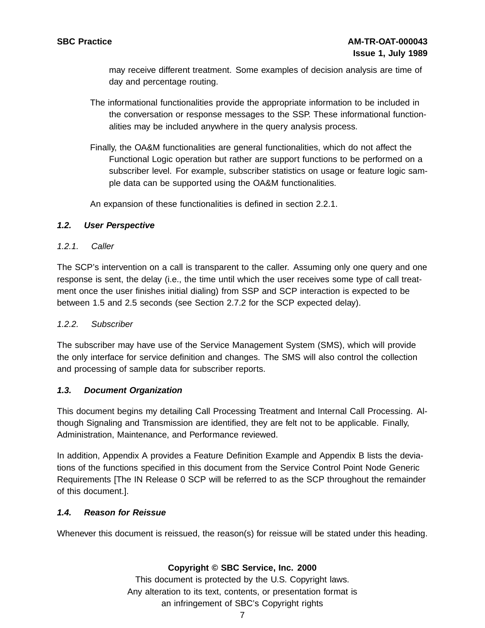may receive different treatment. Some examples of decision analysis are time of day and percentage routing.

- The informational functionalities provide the appropriate information to be included in the conversation or response messages to the SSP. These informational functionalities may be included anywhere in the query analysis process.
- Finally, the OA&M functionalities are general functionalities, which do not affect the Functional Logic operation but rather are support functions to be performed on a subscriber level. For example, subscriber statistics on usage or feature logic sample data can be supported using the OA&M functionalities.

An expansion of these functionalities is defined in section 2.2.1.

## **1.2. User Perspective**

## 1.2.1. Caller

The SCP's intervention on a call is transparent to the caller. Assuming only one query and one response is sent, the delay (i.e., the time until which the user receives some type of call treatment once the user finishes initial dialing) from SSP and SCP interaction is expected to be between 1.5 and 2.5 seconds (see Section 2.7.2 for the SCP expected delay).

## 1.2.2. Subscriber

The subscriber may have use of the Service Management System (SMS), which will provide the only interface for service definition and changes. The SMS will also control the collection and processing of sample data for subscriber reports.

## **1.3. Document Organization**

This document begins my detailing Call Processing Treatment and Internal Call Processing. Although Signaling and Transmission are identified, they are felt not to be applicable. Finally, Administration, Maintenance, and Performance reviewed.

In addition, Appendix A provides a Feature Definition Example and Appendix B lists the deviations of the functions specified in this document from the Service Control Point Node Generic Requirements [The IN Release 0 SCP will be referred to as the SCP throughout the remainder of this document.].

## **1.4. Reason for Reissue**

Whenever this document is reissued, the reason(s) for reissue will be stated under this heading.

## **Copyright © SBC Service, Inc. 2000**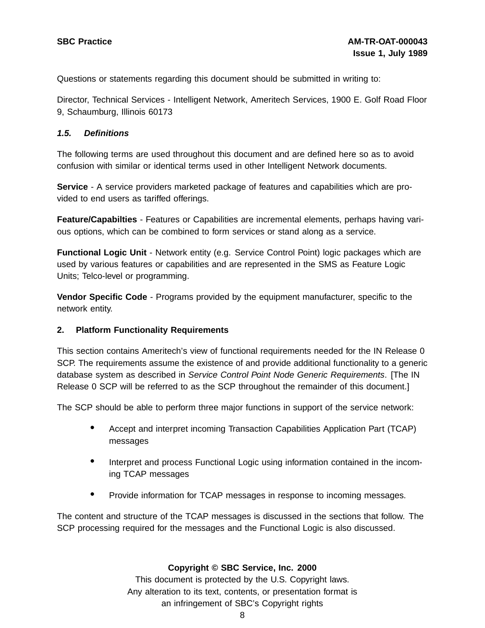Questions or statements regarding this document should be submitted in writing to:

Director, Technical Services - Intelligent Network, Ameritech Services, 1900 E. Golf Road Floor 9, Schaumburg, Illinois 60173

#### **1.5. Definitions**

The following terms are used throughout this document and are defined here so as to avoid confusion with similar or identical terms used in other Intelligent Network documents.

**Service** - A service providers marketed package of features and capabilities which are provided to end users as tariffed offerings.

**Feature/Capabilties** - Features or Capabilities are incremental elements, perhaps having various options, which can be combined to form services or stand along as a service.

**Functional Logic Unit** - Network entity (e.g. Service Control Point) logic packages which are used by various features or capabilities and are represented in the SMS as Feature Logic Units; Telco-level or programming.

**Vendor Specific Code** - Programs provided by the equipment manufacturer, specific to the network entity.

#### **2. Platform Functionality Requirements**

This section contains Ameritech's view of functional requirements needed for the IN Release 0 SCP. The requirements assume the existence of and provide additional functionality to a generic database system as described in Service Control Point Node Generic Requirements. [The IN Release 0 SCP will be referred to as the SCP throughout the remainder of this document.]

The SCP should be able to perform three major functions in support of the service network:

- Accept and interpret incoming Transaction Capabilities Application Part (TCAP) messages
- Interpret and process Functional Logic using information contained in the incoming TCAP messages
- Provide information for TCAP messages in response to incoming messages.

The content and structure of the TCAP messages is discussed in the sections that follow. The SCP processing required for the messages and the Functional Logic is also discussed.

#### **Copyright © SBC Service, Inc. 2000**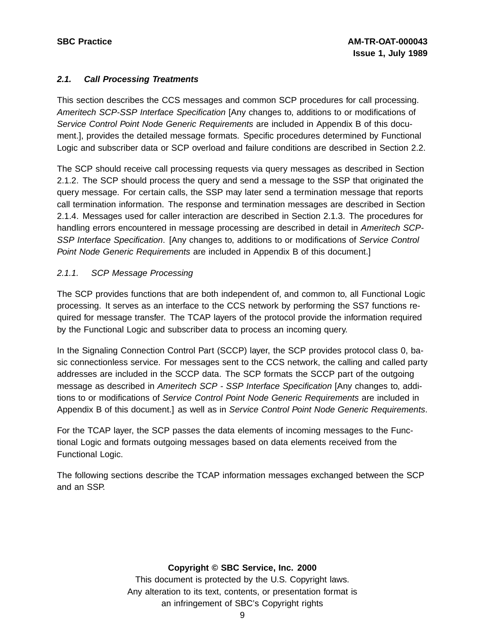## **2.1. Call Processing Treatments**

This section describes the CCS messages and common SCP procedures for call processing. Ameritech SCP-SSP Interface Specification [Any changes to, additions to or modifications of Service Control Point Node Generic Requirements are included in Appendix B of this document.], provides the detailed message formats. Specific procedures determined by Functional Logic and subscriber data or SCP overload and failure conditions are described in Section 2.2.

The SCP should receive call processing requests via query messages as described in Section 2.1.2. The SCP should process the query and send a message to the SSP that originated the query message. For certain calls, the SSP may later send a termination message that reports call termination information. The response and termination messages are described in Section 2.1.4. Messages used for caller interaction are described in Section 2.1.3. The procedures for handling errors encountered in message processing are described in detail in Ameritech SCP-SSP Interface Specification. [Any changes to, additions to or modifications of Service Control Point Node Generic Requirements are included in Appendix B of this document.]

## 2.1.1. SCP Message Processing

The SCP provides functions that are both independent of, and common to, all Functional Logic processing. It serves as an interface to the CCS network by performing the SS7 functions required for message transfer. The TCAP layers of the protocol provide the information required by the Functional Logic and subscriber data to process an incoming query.

In the Signaling Connection Control Part (SCCP) layer, the SCP provides protocol class 0, basic connectionless service. For messages sent to the CCS network, the calling and called party addresses are included in the SCCP data. The SCP formats the SCCP part of the outgoing message as described in Ameritech SCP - SSP Interface Specification [Any changes to, additions to or modifications of Service Control Point Node Generic Requirements are included in Appendix B of this document.] as well as in Service Control Point Node Generic Requirements.

For the TCAP layer, the SCP passes the data elements of incoming messages to the Functional Logic and formats outgoing messages based on data elements received from the Functional Logic.

The following sections describe the TCAP information messages exchanged between the SCP and an SSP.

## **Copyright © SBC Service, Inc. 2000**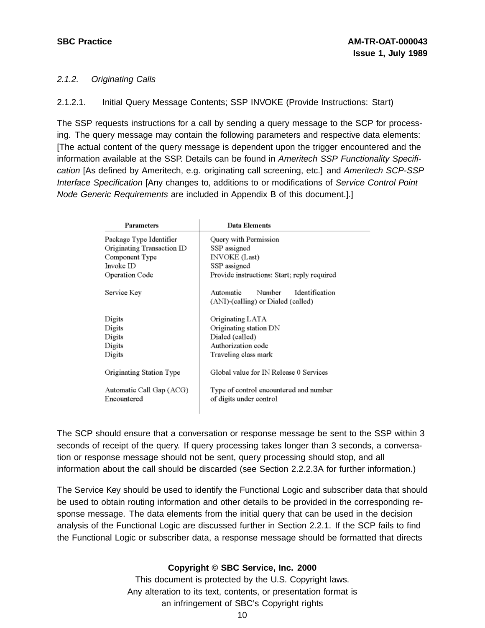## 2.1.2. Originating Calls

2.1.2.1. Initial Query Message Contents; SSP INVOKE (Provide Instructions: Start)

The SSP requests instructions for a call by sending a query message to the SCP for processing. The query message may contain the following parameters and respective data elements: [The actual content of the query message is dependent upon the trigger encountered and the information available at the SSP. Details can be found in Ameritech SSP Functionality Specification [As defined by Ameritech, e.g. originating call screening, etc.] and Ameritech SCP-SSP Interface Specification [Any changes to, additions to or modifications of Service Control Point Node Generic Requirements are included in Appendix B of this document.].]

| Parameters                              | Data Elements                                                               |
|-----------------------------------------|-----------------------------------------------------------------------------|
| Package Type Identifier                 | Query with Permission                                                       |
| Originating Transaction ID              | SSP assigned                                                                |
| Component Type                          | <b>INVOKE</b> (Last)                                                        |
| Invoke ID                               | SSP assigned                                                                |
| Operation Code                          | Provide instructions: Start; reply required                                 |
| Service Key                             | Number<br>Identification<br>Automatic<br>(ANI)-(calling) or Dialed (called) |
| Digits                                  | Originating LATA                                                            |
| Digits                                  | Originating station DN                                                      |
| Digits                                  | Dialed (called)                                                             |
| Digits                                  | Authorization code                                                          |
| Digits                                  | Traveling class mark                                                        |
| Originating Station Type                | Global value for IN Release 0 Services                                      |
| Automatic Call Gap (ACG)<br>Encountered | Type of control encountered and number<br>of digits under control           |

The SCP should ensure that a conversation or response message be sent to the SSP within 3 seconds of receipt of the query. If query processing takes longer than 3 seconds, a conversation or response message should not be sent, query processing should stop, and all information about the call should be discarded (see Section 2.2.2.3A for further information.)

The Service Key should be used to identify the Functional Logic and subscriber data that should be used to obtain routing information and other details to be provided in the corresponding response message. The data elements from the initial query that can be used in the decision analysis of the Functional Logic are discussed further in Section 2.2.1. If the SCP fails to find the Functional Logic or subscriber data, a response message should be formatted that directs

## **Copyright © SBC Service, Inc. 2000**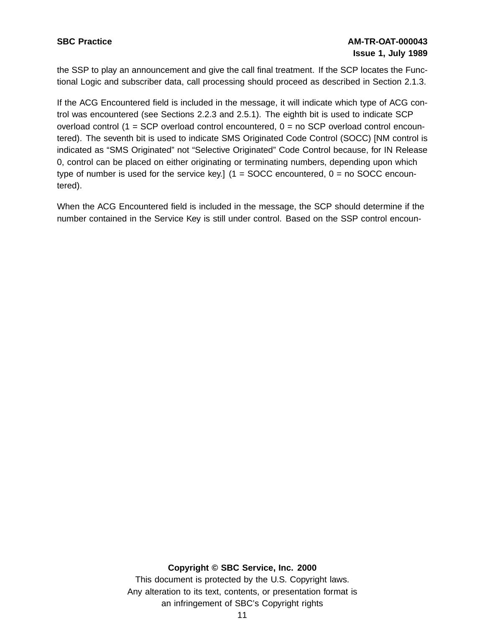## **SBC Practice AM-TR-OAT-000043 Issue 1, July 1989**

the SSP to play an announcement and give the call final treatment. If the SCP locates the Functional Logic and subscriber data, call processing should proceed as described in Section 2.1.3.

If the ACG Encountered field is included in the message, it will indicate which type of ACG control was encountered (see Sections 2.2.3 and 2.5.1). The eighth bit is used to indicate SCP overload control (1 = SCP overload control encountered,  $0 =$  no SCP overload control encountered). The seventh bit is used to indicate SMS Originated Code Control (SOCC) [NM control is indicated as "SMS Originated" not "Selective Originated" Code Control because, for IN Release 0, control can be placed on either originating or terminating numbers, depending upon which type of number is used for the service key.]  $(1 = SOCC$  encountered,  $0 = no SOCC$  encountered).

When the ACG Encountered field is included in the message, the SCP should determine if the number contained in the Service Key is still under control. Based on the SSP control encoun-

#### **Copyright © SBC Service, Inc. 2000**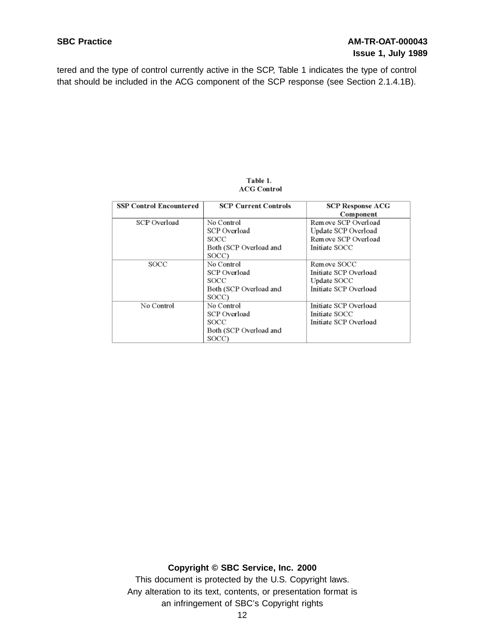tered and the type of control currently active in the SCP, Table 1 indicates the type of control that should be included in the ACG component of the SCP response (see Section 2.1.4.1B).

#### Table 1. **ACG Control**

| <b>SSP Control Encountered</b> | <b>SCP Current Controls</b> | <b>SCP Response ACG</b> |
|--------------------------------|-----------------------------|-------------------------|
|                                |                             | Component               |
| SCP Overload                   | No Control                  | Remove SCP Overload     |
|                                | SCP Overload                | Update SCP Overload     |
|                                | SOCC                        | Remove SCP Overload     |
|                                | Both (SCP Overload and      | Initiate SOCC           |
|                                | SOCC)                       |                         |
| SOCC                           | No Control                  | Remove SOCC             |
|                                | SCP Overload                | Initiate SCP Overload   |
|                                | SOCC                        | Update SOCC             |
|                                | Both (SCP Overload and      | Initiate SCP Overload   |
|                                | SOCC)                       |                         |
| No Control                     | No Control                  | Initiate SCP Overload   |
|                                | SCP Overload                | Initiate SOCC           |
|                                | <b>SOCC</b>                 | Initiate SCP Overload   |
|                                | Both (SCP Overload and      |                         |
|                                | SOCC)                       |                         |

## **Copyright © SBC Service, Inc. 2000**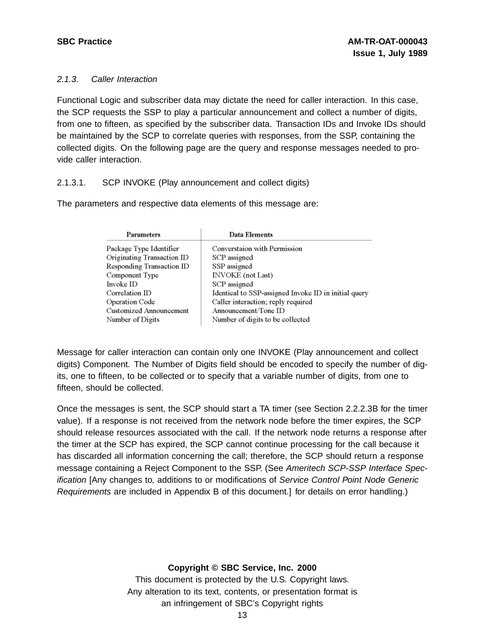## 2.1.3. Caller Interaction

Functional Logic and subscriber data may dictate the need for caller interaction. In this case, the SCP requests the SSP to play a particular announcement and collect a number of digits, from one to fifteen, as specified by the subscriber data. Transaction IDs and Invoke IDs should be maintained by the SCP to correlate queries with responses, from the SSP, containing the collected digits. On the following page are the query and response messages needed to provide caller interaction.

## 2.1.3.1. SCP INVOKE (Play announcement and collect digits)

The parameters and respective data elements of this message are:

| Parameters                 | Data Elements                                        |
|----------------------------|------------------------------------------------------|
| Package Type Identifier    | Converstaion with Permission                         |
| Originating Transaction ID | SCP assigned                                         |
| Responding Transaction ID  | SSP assigned                                         |
| Component Type             | <b>INVOKE</b> (not Last)                             |
| Invoke ID                  | SCP assigned                                         |
| Correlation ID             | Identical to SSP-assigned Invoke ID in initial query |
| Operation Code             | Caller interaction; reply required                   |
| Customized Announcement    | Announcement/Tone ID                                 |
| Number of Digits           | Number of digits to be collected                     |

Message for caller interaction can contain only one INVOKE (Play announcement and collect digits) Component. The Number of Digits field should be encoded to specify the number of digits, one to fifteen, to be collected or to specify that a variable number of digits, from one to fifteen, should be collected.

Once the messages is sent, the SCP should start a TA timer (see Section 2.2.2.3B for the timer value). If a response is not received from the network node before the timer expires, the SCP should release resources associated with the call. If the network node returns a response after the timer at the SCP has expired, the SCP cannot continue processing for the call because it has discarded all information concerning the call; therefore, the SCP should return a response message containing a Reject Component to the SSP. (See Ameritech SCP-SSP Interface Specification [Any changes to, additions to or modifications of Service Control Point Node Generic Requirements are included in Appendix B of this document.] for details on error handling.)

## **Copyright © SBC Service, Inc. 2000**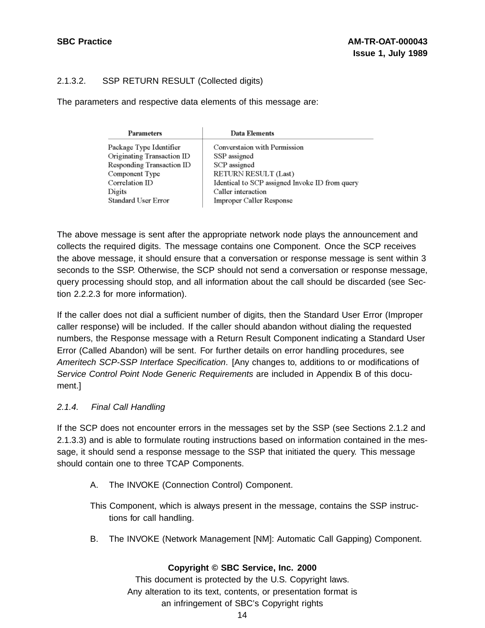## 2.1.3.2. SSP RETURN RESULT (Collected digits)

The parameters and respective data elements of this message are:

| <b>Data Elements</b>                           |
|------------------------------------------------|
| Converstation with Permission                  |
| SSP assigned                                   |
| SCP assigned                                   |
| RETURN RESULT (Last)                           |
| Identical to SCP assigned Invoke ID from query |
| Caller interaction                             |
| Improper Caller Response                       |
|                                                |

The above message is sent after the appropriate network node plays the announcement and collects the required digits. The message contains one Component. Once the SCP receives the above message, it should ensure that a conversation or response message is sent within 3 seconds to the SSP. Otherwise, the SCP should not send a conversation or response message, query processing should stop, and all information about the call should be discarded (see Section 2.2.2.3 for more information).

If the caller does not dial a sufficient number of digits, then the Standard User Error (Improper caller response) will be included. If the caller should abandon without dialing the requested numbers, the Response message with a Return Result Component indicating a Standard User Error (Called Abandon) will be sent. For further details on error handling procedures, see Ameritech SCP-SSP Interface Specification. [Any changes to, additions to or modifications of Service Control Point Node Generic Requirements are included in Appendix B of this document.]

## 2.1.4. Final Call Handling

If the SCP does not encounter errors in the messages set by the SSP (see Sections 2.1.2 and 2.1.3.3) and is able to formulate routing instructions based on information contained in the message, it should send a response message to the SSP that initiated the query. This message should contain one to three TCAP Components.

A. The INVOKE (Connection Control) Component.

This Component, which is always present in the message, contains the SSP instructions for call handling.

B. The INVOKE (Network Management [NM]: Automatic Call Gapping) Component.

## **Copyright © SBC Service, Inc. 2000**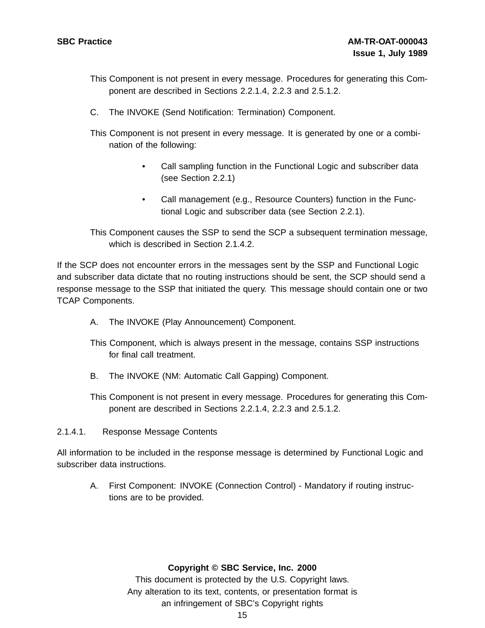- This Component is not present in every message. Procedures for generating this Component are described in Sections 2.2.1.4, 2.2.3 and 2.5.1.2.
- C. The INVOKE (Send Notification: Termination) Component.
- This Component is not present in every message. It is generated by one or a combination of the following:
	- Call sampling function in the Functional Logic and subscriber data (see Section 2.2.1)
	- Call management (e.g., Resource Counters) function in the Functional Logic and subscriber data (see Section 2.2.1).

This Component causes the SSP to send the SCP a subsequent termination message, which is described in Section 2.1.4.2.

If the SCP does not encounter errors in the messages sent by the SSP and Functional Logic and subscriber data dictate that no routing instructions should be sent, the SCP should send a response message to the SSP that initiated the query. This message should contain one or two TCAP Components.

- A. The INVOKE (Play Announcement) Component.
- This Component, which is always present in the message, contains SSP instructions for final call treatment.
- B. The INVOKE (NM: Automatic Call Gapping) Component.
- This Component is not present in every message. Procedures for generating this Component are described in Sections 2.2.1.4, 2.2.3 and 2.5.1.2.
- 2.1.4.1. Response Message Contents

All information to be included in the response message is determined by Functional Logic and subscriber data instructions.

A. First Component: INVOKE (Connection Control) - Mandatory if routing instructions are to be provided.

## **Copyright © SBC Service, Inc. 2000**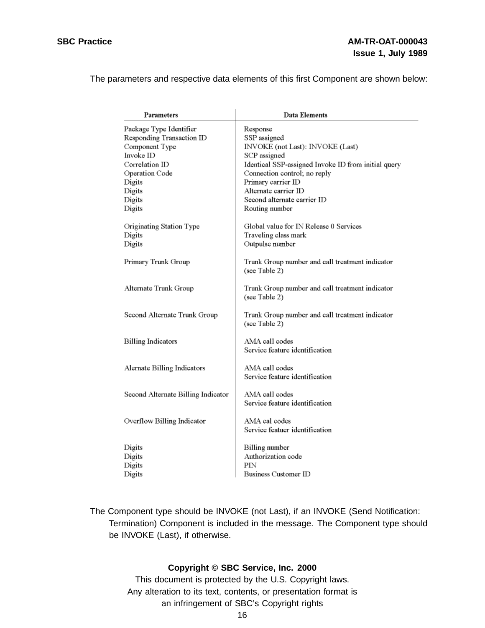The parameters and respective data elements of this first Component are shown below:

| Parameters                         | Data Elements                                                    |
|------------------------------------|------------------------------------------------------------------|
| Package Type Identifier            | Response                                                         |
| Responding Transaction ID          | SSP assigned                                                     |
| Component Type                     | INVOKE (not Last): INVOKE (Last)                                 |
| Invoke ID                          | SCP assigned                                                     |
| Correlation ID                     | Identical SSP-assigned Invoke ID from initial query              |
| Operation Code                     | Connection control; no reply                                     |
| Digits                             | Primary carrier ID                                               |
| Digits                             | Alternate carrier ID                                             |
| Digits                             | Second alternate carrier ID                                      |
| Digits                             | Routing number                                                   |
| Originating Station Type           | Global value for IN Release 0 Services                           |
| Digits                             | Traveling class mark                                             |
| Digits                             | Outpulse number                                                  |
| Primary Trunk Group                | Trunk Group number and call treatment indicator<br>(see Table 2) |
| Alternate Trunk Group              | Trunk Group number and call treatment indicator<br>(see Table 2) |
| Second Alternate Trunk Group       | Trunk Group number and call treatment indicator<br>(see Table 2) |
| <b>Billing Indicators</b>          | AMA call codes<br>Service feature identification                 |
| Alernate Billing Indicators        | AMA call codes<br>Service feature identification                 |
| Second Alternate Billing Indicator | AMA call codes<br>Service feature identification                 |
| Overflow Billing Indicator         | AMA cal codes<br>Service featuer identification                  |
| Digits                             | Billing number                                                   |
| Digits                             | Authorization code                                               |
| Digits                             | PIN                                                              |
| Digits                             | Business Customer ID                                             |
|                                    |                                                                  |

The Component type should be INVOKE (not Last), if an INVOKE (Send Notification: Termination) Component is included in the message. The Component type should be INVOKE (Last), if otherwise.

## **Copyright © SBC Service, Inc. 2000**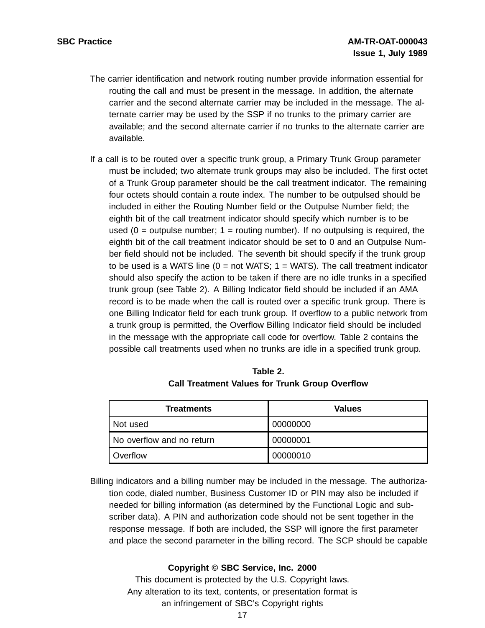- The carrier identification and network routing number provide information essential for routing the call and must be present in the message. In addition, the alternate carrier and the second alternate carrier may be included in the message. The alternate carrier may be used by the SSP if no trunks to the primary carrier are available; and the second alternate carrier if no trunks to the alternate carrier are available.
- If a call is to be routed over a specific trunk group, a Primary Trunk Group parameter must be included; two alternate trunk groups may also be included. The first octet of a Trunk Group parameter should be the call treatment indicator. The remaining four octets should contain a route index. The number to be outpulsed should be included in either the Routing Number field or the Outpulse Number field; the eighth bit of the call treatment indicator should specify which number is to be used  $(0 =$  outpulse number;  $1 =$  routing number). If no outpulsing is required, the eighth bit of the call treatment indicator should be set to 0 and an Outpulse Number field should not be included. The seventh bit should specify if the trunk group to be used is a WATS line  $(0 = not WATS; 1 = WATS)$ . The call treatment indicator should also specify the action to be taken if there are no idle trunks in a specified trunk group (see Table 2). A Billing Indicator field should be included if an AMA record is to be made when the call is routed over a specific trunk group. There is one Billing Indicator field for each trunk group. If overflow to a public network from a trunk group is permitted, the Overflow Billing Indicator field should be included in the message with the appropriate call code for overflow. Table 2 contains the possible call treatments used when no trunks are idle in a specified trunk group.

| .                                                     |
|-------------------------------------------------------|
| <b>Call Treatment Values for Trunk Group Overflow</b> |
|                                                       |

**Table 2.**

| <b>Treatments</b>         | Values   |
|---------------------------|----------|
| Not used                  | 00000000 |
| No overflow and no return | 00000001 |
| Overflow                  | 00000010 |

Billing indicators and a billing number may be included in the message. The authorization code, dialed number, Business Customer ID or PIN may also be included if needed for billing information (as determined by the Functional Logic and subscriber data). A PIN and authorization code should not be sent together in the response message. If both are included, the SSP will ignore the first parameter and place the second parameter in the billing record. The SCP should be capable

## **Copyright © SBC Service, Inc. 2000**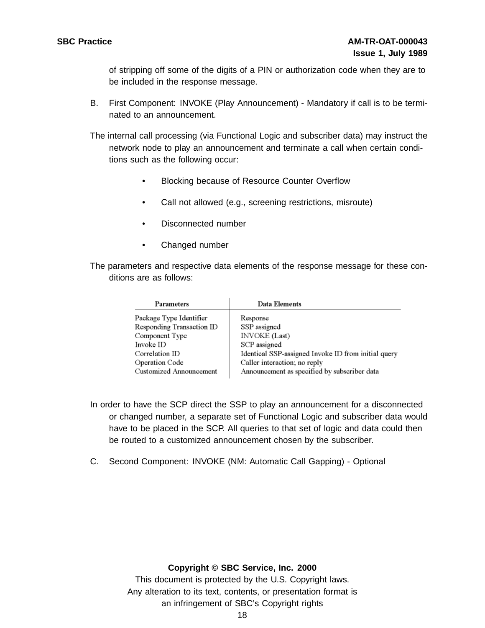of stripping off some of the digits of a PIN or authorization code when they are to be included in the response message.

B. First Component: INVOKE (Play Announcement) - Mandatory if call is to be terminated to an announcement.

The internal call processing (via Functional Logic and subscriber data) may instruct the network node to play an announcement and terminate a call when certain conditions such as the following occur:

- Blocking because of Resource Counter Overflow
- Call not allowed (e.g., screening restrictions, misroute)
- Disconnected number
- Changed number

The parameters and respective data elements of the response message for these conditions are as follows:

| Parameters                | Data Elements                                       |
|---------------------------|-----------------------------------------------------|
| Package Type Identifier   | Response                                            |
| Responding Transaction ID | SSP assigned                                        |
| Component Type            | <b>INVOKE</b> (Last)                                |
| Invoke ID                 | SCP assigned                                        |
| Correlation ID            | Identical SSP-assigned Invoke ID from initial query |
| Operation Code            | Caller interaction; no reply                        |
| Customized Announcement   | Announcement as specified by subscriber data        |

- In order to have the SCP direct the SSP to play an announcement for a disconnected or changed number, a separate set of Functional Logic and subscriber data would have to be placed in the SCP. All queries to that set of logic and data could then be routed to a customized announcement chosen by the subscriber.
- C. Second Component: INVOKE (NM: Automatic Call Gapping) Optional

## **Copyright © SBC Service, Inc. 2000**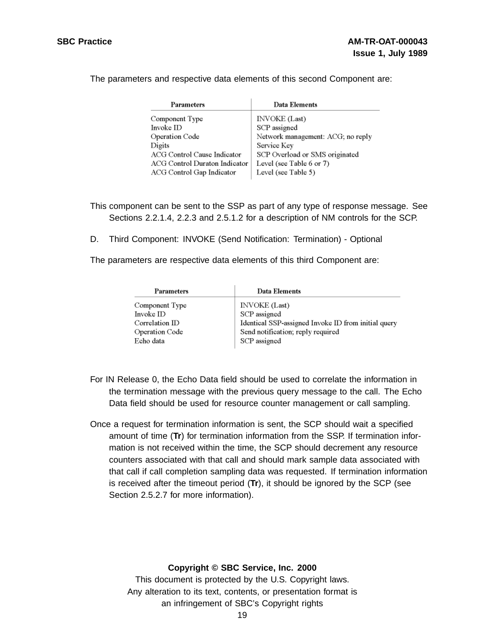The parameters and respective data elements of this second Component are:

| Data Elements                     |
|-----------------------------------|
| <b>INVOKE</b> (Last)              |
| SCP assigned                      |
| Network management: ACG; no reply |
| Service Key                       |
| SCP Overload or SMS originated    |
| Level (see Table 6 or 7)          |
| Level (see Table 5)               |
|                                   |

This component can be sent to the SSP as part of any type of response message. See Sections 2.2.1.4, 2.2.3 and 2.5.1.2 for a description of NM controls for the SCP.

D. Third Component: INVOKE (Send Notification: Termination) - Optional

The parameters are respective data elements of this third Component are:

| Data Elements                                       |
|-----------------------------------------------------|
| <b>INVOKE</b> (Last)                                |
| SCP assigned                                        |
| Identical SSP-assigned Invoke ID from initial query |
| Send notification; reply required                   |
| SCP assigned                                        |
|                                                     |

- For IN Release 0, the Echo Data field should be used to correlate the information in the termination message with the previous query message to the call. The Echo Data field should be used for resource counter management or call sampling.
- Once a request for termination information is sent, the SCP should wait a specified amount of time (**Tr**) for termination information from the SSP. If termination information is not received within the time, the SCP should decrement any resource counters associated with that call and should mark sample data associated with that call if call completion sampling data was requested. If termination information is received after the timeout period (**Tr**), it should be ignored by the SCP (see Section 2.5.2.7 for more information).

## **Copyright © SBC Service, Inc. 2000**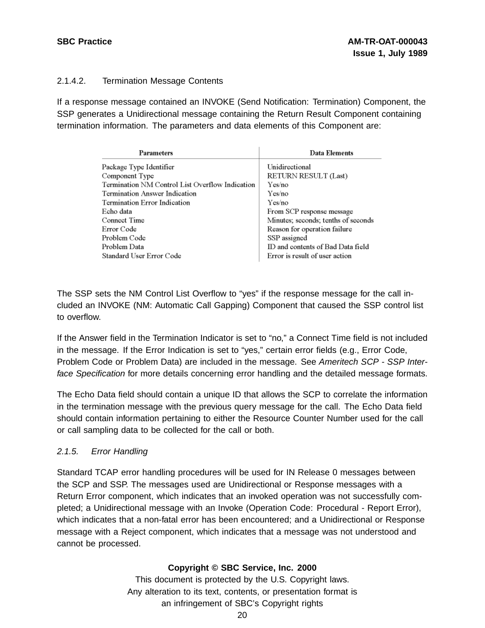## 2.1.4.2. Termination Message Contents

If a response message contained an INVOKE (Send Notification: Termination) Component, the SSP generates a Unidirectional message containing the Return Result Component containing termination information. The parameters and data elements of this Component are:

| Parameters                                      | Data Elements                       |
|-------------------------------------------------|-------------------------------------|
| Package Type Identifier                         | Unidirectional                      |
| Component Type                                  | RETURN RESULT (Last)                |
| Termination NM Control List Overflow Indication | Yes/no                              |
| Termination Answer Indication                   | Yes/no                              |
| Termination Error Indication                    | Yes/no                              |
| Echo data                                       | From SCP response message           |
| Connect Time                                    | Minutes; seconds; tenths of seconds |
| Error Code                                      | Reason for operation failure        |
| Problem Code                                    | SSP assigned                        |
| Problem Data                                    | ID and contents of Bad Data field   |
| Standard User Error Code                        | Error is result of user action      |

The SSP sets the NM Control List Overflow to "yes" if the response message for the call included an INVOKE (NM: Automatic Call Gapping) Component that caused the SSP control list to overflow.

If the Answer field in the Termination Indicator is set to "no," a Connect Time field is not included in the message. If the Error Indication is set to "yes," certain error fields (e.g., Error Code, Problem Code or Problem Data) are included in the message. See Ameritech SCP - SSP Interface Specification for more details concerning error handling and the detailed message formats.

The Echo Data field should contain a unique ID that allows the SCP to correlate the information in the termination message with the previous query message for the call. The Echo Data field should contain information pertaining to either the Resource Counter Number used for the call or call sampling data to be collected for the call or both.

## 2.1.5. Error Handling

Standard TCAP error handling procedures will be used for IN Release 0 messages between the SCP and SSP. The messages used are Unidirectional or Response messages with a Return Error component, which indicates that an invoked operation was not successfully completed; a Unidirectional message with an Invoke (Operation Code: Procedural - Report Error), which indicates that a non-fatal error has been encountered; and a Unidirectional or Response message with a Reject component, which indicates that a message was not understood and cannot be processed.

## **Copyright © SBC Service, Inc. 2000**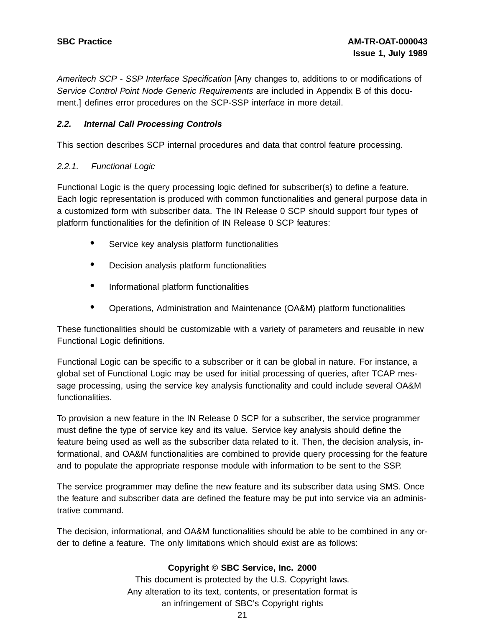Ameritech SCP - SSP Interface Specification [Any changes to, additions to or modifications of Service Control Point Node Generic Requirements are included in Appendix B of this document.] defines error procedures on the SCP-SSP interface in more detail.

## **2.2. Internal Call Processing Controls**

This section describes SCP internal procedures and data that control feature processing.

## 2.2.1. Functional Logic

Functional Logic is the query processing logic defined for subscriber(s) to define a feature. Each logic representation is produced with common functionalities and general purpose data in a customized form with subscriber data. The IN Release 0 SCP should support four types of platform functionalities for the definition of IN Release 0 SCP features:

- Service key analysis platform functionalities
- Decision analysis platform functionalities
- Informational platform functionalities
- Operations, Administration and Maintenance (OA&M) platform functionalities

These functionalities should be customizable with a variety of parameters and reusable in new Functional Logic definitions.

Functional Logic can be specific to a subscriber or it can be global in nature. For instance, a global set of Functional Logic may be used for initial processing of queries, after TCAP message processing, using the service key analysis functionality and could include several OA&M functionalities.

To provision a new feature in the IN Release 0 SCP for a subscriber, the service programmer must define the type of service key and its value. Service key analysis should define the feature being used as well as the subscriber data related to it. Then, the decision analysis, informational, and OA&M functionalities are combined to provide query processing for the feature and to populate the appropriate response module with information to be sent to the SSP.

The service programmer may define the new feature and its subscriber data using SMS. Once the feature and subscriber data are defined the feature may be put into service via an administrative command.

The decision, informational, and OA&M functionalities should be able to be combined in any order to define a feature. The only limitations which should exist are as follows:

## **Copyright © SBC Service, Inc. 2000**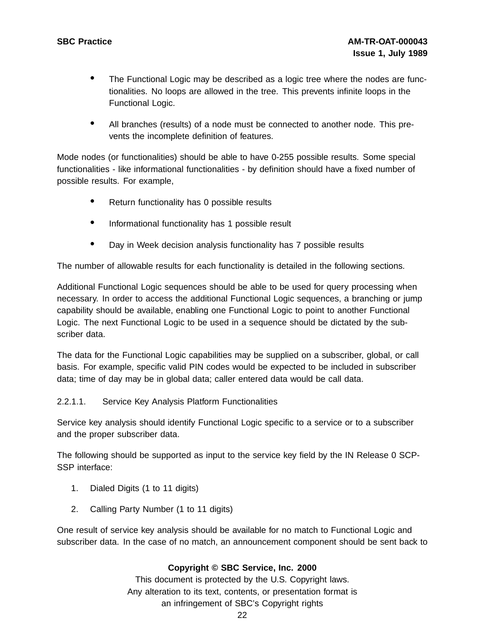- The Functional Logic may be described as <sup>a</sup> logic tree where the nodes are functionalities. No loops are allowed in the tree. This prevents infinite loops in the Functional Logic.
- All branches (results) of <sup>a</sup> node must be connected to another node. This prevents the incomplete definition of features.

Mode nodes (or functionalities) should be able to have 0-255 possible results. Some special functionalities - like informational functionalities - by definition should have a fixed number of possible results. For example,

- Return functionality has 0 possible results
- Informational functionality has <sup>1</sup> possible result
- Day in Week decision analysis functionality has <sup>7</sup> possible results

The number of allowable results for each functionality is detailed in the following sections.

Additional Functional Logic sequences should be able to be used for query processing when necessary. In order to access the additional Functional Logic sequences, a branching or jump capability should be available, enabling one Functional Logic to point to another Functional Logic. The next Functional Logic to be used in a sequence should be dictated by the subscriber data.

The data for the Functional Logic capabilities may be supplied on a subscriber, global, or call basis. For example, specific valid PIN codes would be expected to be included in subscriber data; time of day may be in global data; caller entered data would be call data.

## 2.2.1.1. Service Key Analysis Platform Functionalities

Service key analysis should identify Functional Logic specific to a service or to a subscriber and the proper subscriber data.

The following should be supported as input to the service key field by the IN Release 0 SCP-SSP interface:

- 1. Dialed Digits (1 to 11 digits)
- 2. Calling Party Number (1 to 11 digits)

One result of service key analysis should be available for no match to Functional Logic and subscriber data. In the case of no match, an announcement component should be sent back to

## **Copyright © SBC Service, Inc. 2000**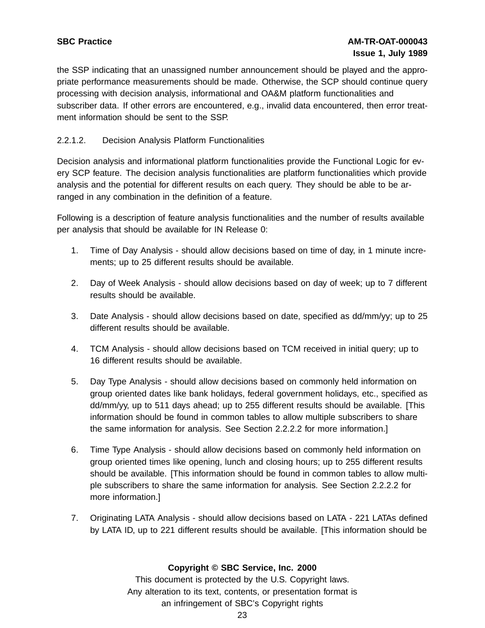the SSP indicating that an unassigned number announcement should be played and the appropriate performance measurements should be made. Otherwise, the SCP should continue query processing with decision analysis, informational and OA&M platform functionalities and subscriber data. If other errors are encountered, e.g., invalid data encountered, then error treatment information should be sent to the SSP.

## 2.2.1.2. Decision Analysis Platform Functionalities

Decision analysis and informational platform functionalities provide the Functional Logic for every SCP feature. The decision analysis functionalities are platform functionalities which provide analysis and the potential for different results on each query. They should be able to be arranged in any combination in the definition of a feature.

Following is a description of feature analysis functionalities and the number of results available per analysis that should be available for IN Release 0:

- 1. Time of Day Analysis should allow decisions based on time of day, in 1 minute increments; up to 25 different results should be available.
- 2. Day of Week Analysis should allow decisions based on day of week; up to 7 different results should be available.
- 3. Date Analysis should allow decisions based on date, specified as dd/mm/yy; up to 25 different results should be available.
- 4. TCM Analysis should allow decisions based on TCM received in initial query; up to 16 different results should be available.
- 5. Day Type Analysis should allow decisions based on commonly held information on group oriented dates like bank holidays, federal government holidays, etc., specified as dd/mm/yy, up to 511 days ahead; up to 255 different results should be available. [This information should be found in common tables to allow multiple subscribers to share the same information for analysis. See Section 2.2.2.2 for more information.]
- 6. Time Type Analysis should allow decisions based on commonly held information on group oriented times like opening, lunch and closing hours; up to 255 different results should be available. [This information should be found in common tables to allow multiple subscribers to share the same information for analysis. See Section 2.2.2.2 for more information.]
- 7. Originating LATA Analysis should allow decisions based on LATA 221 LATAs defined by LATA ID, up to 221 different results should be available. [This information should be

## **Copyright © SBC Service, Inc. 2000**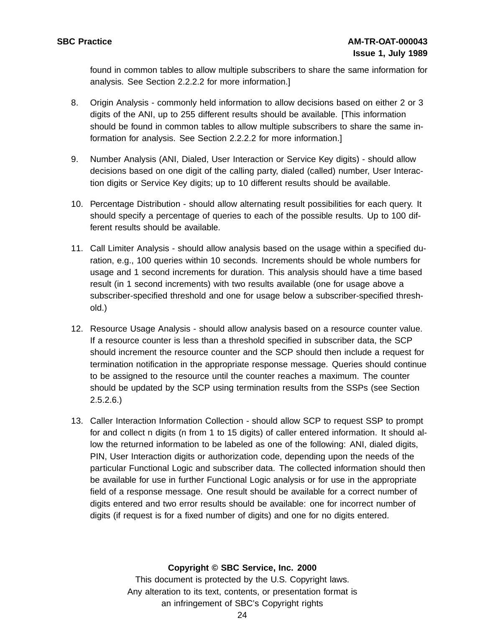found in common tables to allow multiple subscribers to share the same information for analysis. See Section 2.2.2.2 for more information.]

- 8. Origin Analysis commonly held information to allow decisions based on either 2 or 3 digits of the ANI, up to 255 different results should be available. [This information should be found in common tables to allow multiple subscribers to share the same information for analysis. See Section 2.2.2.2 for more information.]
- 9. Number Analysis (ANI, Dialed, User Interaction or Service Key digits) should allow decisions based on one digit of the calling party, dialed (called) number, User Interaction digits or Service Key digits; up to 10 different results should be available.
- 10. Percentage Distribution should allow alternating result possibilities for each query. It should specify a percentage of queries to each of the possible results. Up to 100 different results should be available.
- 11. Call Limiter Analysis should allow analysis based on the usage within a specified duration, e.g., 100 queries within 10 seconds. Increments should be whole numbers for usage and 1 second increments for duration. This analysis should have a time based result (in 1 second increments) with two results available (one for usage above a subscriber-specified threshold and one for usage below a subscriber-specified threshold.)
- 12. Resource Usage Analysis should allow analysis based on a resource counter value. If a resource counter is less than a threshold specified in subscriber data, the SCP should increment the resource counter and the SCP should then include a request for termination notification in the appropriate response message. Queries should continue to be assigned to the resource until the counter reaches a maximum. The counter should be updated by the SCP using termination results from the SSPs (see Section  $2.5.2.6.$
- 13. Caller Interaction Information Collection should allow SCP to request SSP to prompt for and collect n digits (n from 1 to 15 digits) of caller entered information. It should allow the returned information to be labeled as one of the following: ANI, dialed digits, PIN, User Interaction digits or authorization code, depending upon the needs of the particular Functional Logic and subscriber data. The collected information should then be available for use in further Functional Logic analysis or for use in the appropriate field of a response message. One result should be available for a correct number of digits entered and two error results should be available: one for incorrect number of digits (if request is for a fixed number of digits) and one for no digits entered.

## **Copyright © SBC Service, Inc. 2000**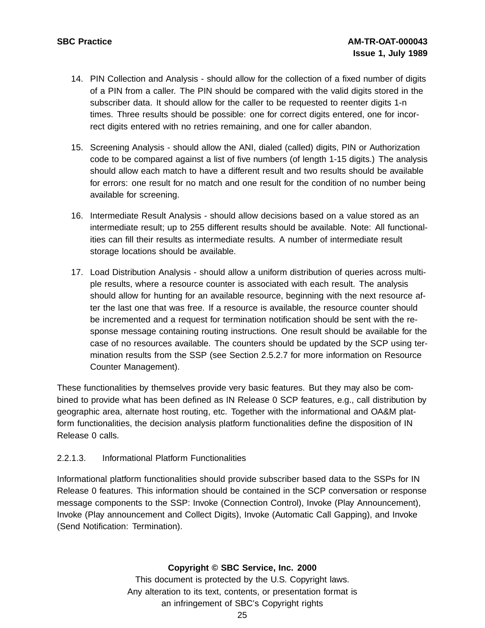- 14. PIN Collection and Analysis should allow for the collection of a fixed number of digits of a PIN from a caller. The PIN should be compared with the valid digits stored in the subscriber data. It should allow for the caller to be requested to reenter digits 1-n times. Three results should be possible: one for correct digits entered, one for incorrect digits entered with no retries remaining, and one for caller abandon.
- 15. Screening Analysis should allow the ANI, dialed (called) digits, PIN or Authorization code to be compared against a list of five numbers (of length 1-15 digits.) The analysis should allow each match to have a different result and two results should be available for errors: one result for no match and one result for the condition of no number being available for screening.
- 16. Intermediate Result Analysis should allow decisions based on a value stored as an intermediate result; up to 255 different results should be available. Note: All functionalities can fill their results as intermediate results. A number of intermediate result storage locations should be available.
- 17. Load Distribution Analysis should allow a uniform distribution of queries across multiple results, where a resource counter is associated with each result. The analysis should allow for hunting for an available resource, beginning with the next resource after the last one that was free. If a resource is available, the resource counter should be incremented and a request for termination notification should be sent with the response message containing routing instructions. One result should be available for the case of no resources available. The counters should be updated by the SCP using termination results from the SSP (see Section 2.5.2.7 for more information on Resource Counter Management).

These functionalities by themselves provide very basic features. But they may also be combined to provide what has been defined as IN Release 0 SCP features, e.g., call distribution by geographic area, alternate host routing, etc. Together with the informational and OA&M platform functionalities, the decision analysis platform functionalities define the disposition of IN Release 0 calls.

## 2.2.1.3. Informational Platform Functionalities

Informational platform functionalities should provide subscriber based data to the SSPs for IN Release 0 features. This information should be contained in the SCP conversation or response message components to the SSP: Invoke (Connection Control), Invoke (Play Announcement), Invoke (Play announcement and Collect Digits), Invoke (Automatic Call Gapping), and Invoke (Send Notification: Termination).

## **Copyright © SBC Service, Inc. 2000**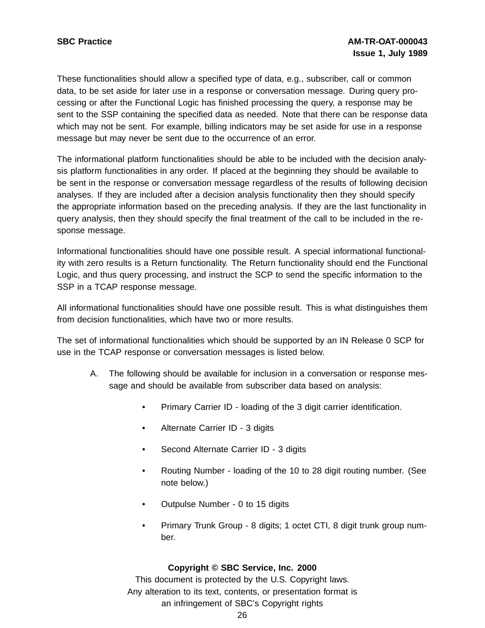These functionalities should allow a specified type of data, e.g., subscriber, call or common data, to be set aside for later use in a response or conversation message. During query processing or after the Functional Logic has finished processing the query, a response may be sent to the SSP containing the specified data as needed. Note that there can be response data which may not be sent. For example, billing indicators may be set aside for use in a response message but may never be sent due to the occurrence of an error.

The informational platform functionalities should be able to be included with the decision analysis platform functionalities in any order. If placed at the beginning they should be available to be sent in the response or conversation message regardless of the results of following decision analyses. If they are included after a decision analysis functionality then they should specify the appropriate information based on the preceding analysis. If they are the last functionality in query analysis, then they should specify the final treatment of the call to be included in the response message.

Informational functionalities should have one possible result. A special informational functionality with zero results is a Return functionality. The Return functionality should end the Functional Logic, and thus query processing, and instruct the SCP to send the specific information to the SSP in a TCAP response message.

All informational functionalities should have one possible result. This is what distinguishes them from decision functionalities, which have two or more results.

The set of informational functionalities which should be supported by an IN Release 0 SCP for use in the TCAP response or conversation messages is listed below.

- A. The following should be available for inclusion in a conversation or response message and should be available from subscriber data based on analysis:
	- Primary Carrier ID loading of the 3 digit carrier identification.
	- Alternate Carrier ID 3 digits
	- Second Alternate Carrier ID 3 digits
	- Routing Number loading of the 10 to 28 digit routing number. (See note below.)
	- Outpulse Number 0 to 15 digits
	- Primary Trunk Group 8 digits; 1 octet CTI, 8 digit trunk group number.

#### **Copyright © SBC Service, Inc. 2000**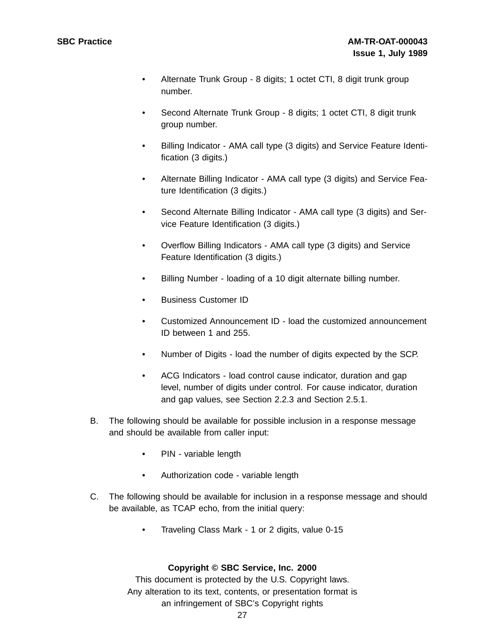- Alternate Trunk Group 8 digits; 1 octet CTI, 8 digit trunk group number.
- Second Alternate Trunk Group 8 digits; 1 octet CTI, 8 digit trunk group number.
- Billing Indicator AMA call type (3 digits) and Service Feature Identification (3 digits.)
- Alternate Billing Indicator AMA call type (3 digits) and Service Feature Identification (3 digits.)
- Second Alternate Billing Indicator AMA call type (3 digits) and Service Feature Identification (3 digits.)
- Overflow Billing Indicators AMA call type (3 digits) and Service Feature Identification (3 digits.)
- Billing Number loading of a 10 digit alternate billing number.
- Business Customer ID
- Customized Announcement ID load the customized announcement ID between 1 and 255.
- Number of Digits load the number of digits expected by the SCP.
- ACG Indicators load control cause indicator, duration and gap level, number of digits under control. For cause indicator, duration and gap values, see Section 2.2.3 and Section 2.5.1.
- B. The following should be available for possible inclusion in a response message and should be available from caller input:
	- PIN variable length
	- Authorization code variable length
- C. The following should be available for inclusion in a response message and should be available, as TCAP echo, from the initial query:
	- Traveling Class Mark 1 or 2 digits, value 0-15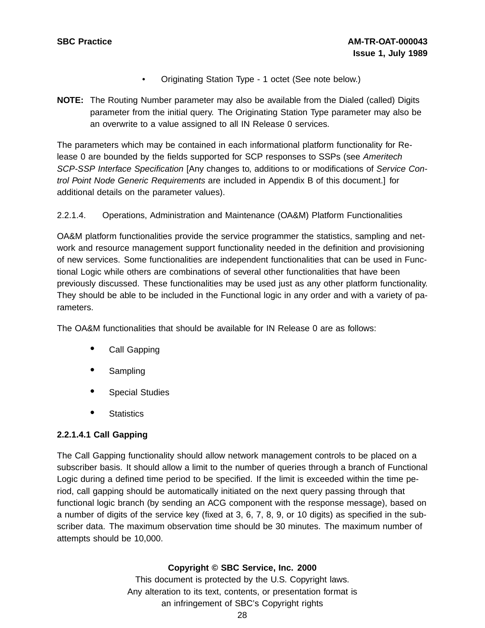- Originating Station Type 1 octet (See note below.)
- **NOTE:** The Routing Number parameter may also be available from the Dialed (called) Digits parameter from the initial query. The Originating Station Type parameter may also be an overwrite to a value assigned to all IN Release 0 services.

The parameters which may be contained in each informational platform functionality for Release 0 are bounded by the fields supported for SCP responses to SSPs (see Ameritech SCP-SSP Interface Specification [Any changes to, additions to or modifications of Service Control Point Node Generic Requirements are included in Appendix B of this document.] for additional details on the parameter values).

## 2.2.1.4. Operations, Administration and Maintenance (OA&M) Platform Functionalities

OA&M platform functionalities provide the service programmer the statistics, sampling and network and resource management support functionality needed in the definition and provisioning of new services. Some functionalities are independent functionalities that can be used in Functional Logic while others are combinations of several other functionalities that have been previously discussed. These functionalities may be used just as any other platform functionality. They should be able to be included in the Functional logic in any order and with a variety of parameters.

The OA&M functionalities that should be available for IN Release 0 are as follows:

- Call Gapping
- Sampling
- Special Studies
- **Statistics**

## **2.2.1.4.1 Call Gapping**

The Call Gapping functionality should allow network management controls to be placed on a subscriber basis. It should allow a limit to the number of queries through a branch of Functional Logic during a defined time period to be specified. If the limit is exceeded within the time period, call gapping should be automatically initiated on the next query passing through that functional logic branch (by sending an ACG component with the response message), based on a number of digits of the service key (fixed at 3, 6, 7, 8, 9, or 10 digits) as specified in the subscriber data. The maximum observation time should be 30 minutes. The maximum number of attempts should be 10,000.

## **Copyright © SBC Service, Inc. 2000**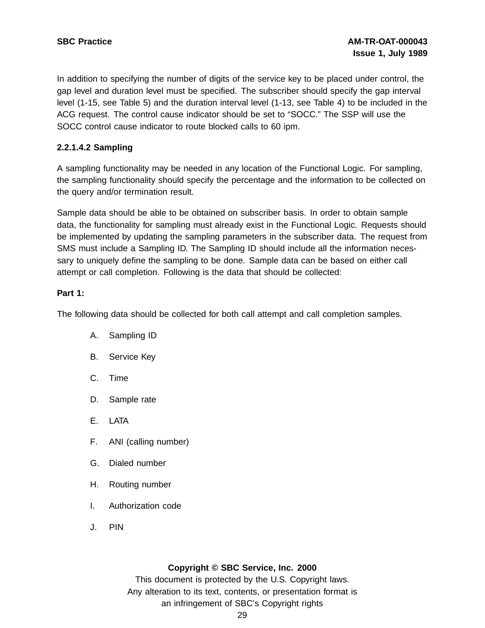In addition to specifying the number of digits of the service key to be placed under control, the gap level and duration level must be specified. The subscriber should specify the gap interval level (1-15, see Table 5) and the duration interval level (1-13, see Table 4) to be included in the ACG request. The control cause indicator should be set to "SOCC." The SSP will use the SOCC control cause indicator to route blocked calls to 60 ipm.

## **2.2.1.4.2 Sampling**

A sampling functionality may be needed in any location of the Functional Logic. For sampling, the sampling functionality should specify the percentage and the information to be collected on the query and/or termination result.

Sample data should be able to be obtained on subscriber basis. In order to obtain sample data, the functionality for sampling must already exist in the Functional Logic. Requests should be implemented by updating the sampling parameters in the subscriber data. The request from SMS must include a Sampling ID. The Sampling ID should include all the information necessary to uniquely define the sampling to be done. Sample data can be based on either call attempt or call completion. Following is the data that should be collected:

## **Part 1:**

The following data should be collected for both call attempt and call completion samples.

- A. Sampling ID
- B. Service Key
- C. Time
- D. Sample rate
- E. LATA
- F. ANI (calling number)
- G. Dialed number
- H. Routing number
- I. Authorization code
- J. PIN

## **Copyright © SBC Service, Inc. 2000**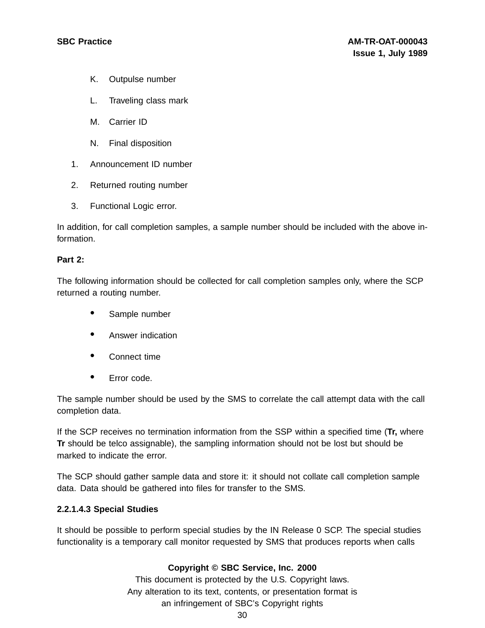- K. Outpulse number
- L. Traveling class mark
- M. Carrier ID
- N. Final disposition
- 1. Announcement ID number
- 2. Returned routing number
- 3. Functional Logic error.

In addition, for call completion samples, a sample number should be included with the above information.

#### **Part 2:**

The following information should be collected for call completion samples only, where the SCP returned a routing number.

- Sample number
- Answer indication
- Connect time
- Error code.

The sample number should be used by the SMS to correlate the call attempt data with the call completion data.

If the SCP receives no termination information from the SSP within a specified time (**Tr,** where **Tr** should be telco assignable), the sampling information should not be lost but should be marked to indicate the error.

The SCP should gather sample data and store it: it should not collate call completion sample data. Data should be gathered into files for transfer to the SMS.

#### **2.2.1.4.3 Special Studies**

It should be possible to perform special studies by the IN Release 0 SCP. The special studies functionality is a temporary call monitor requested by SMS that produces reports when calls

#### **Copyright © SBC Service, Inc. 2000**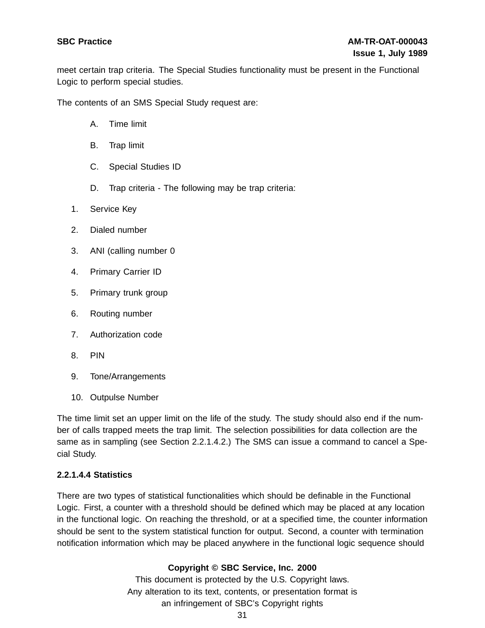meet certain trap criteria. The Special Studies functionality must be present in the Functional Logic to perform special studies.

The contents of an SMS Special Study request are:

- A. Time limit
- B. Trap limit
- C. Special Studies ID
- D. Trap criteria The following may be trap criteria:
- 1. Service Key
- 2. Dialed number
- 3. ANI (calling number 0
- 4. Primary Carrier ID
- 5. Primary trunk group
- 6. Routing number
- 7. Authorization code
- 8. PIN
- 9. Tone/Arrangements
- 10. Outpulse Number

The time limit set an upper limit on the life of the study. The study should also end if the number of calls trapped meets the trap limit. The selection possibilities for data collection are the same as in sampling (see Section 2.2.1.4.2.) The SMS can issue a command to cancel a Special Study.

#### **2.2.1.4.4 Statistics**

There are two types of statistical functionalities which should be definable in the Functional Logic. First, a counter with a threshold should be defined which may be placed at any location in the functional logic. On reaching the threshold, or at a specified time, the counter information should be sent to the system statistical function for output. Second, a counter with termination notification information which may be placed anywhere in the functional logic sequence should

## **Copyright © SBC Service, Inc. 2000**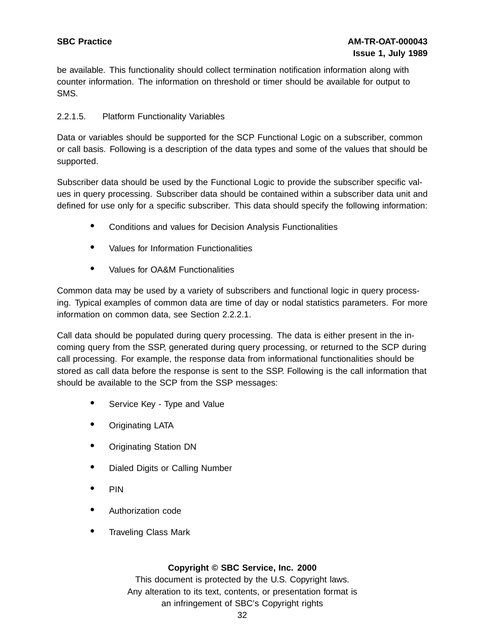be available. This functionality should collect termination notification information along with counter information. The information on threshold or timer should be available for output to SMS.

## 2.2.1.5. Platform Functionality Variables

Data or variables should be supported for the SCP Functional Logic on a subscriber, common or call basis. Following is a description of the data types and some of the values that should be supported.

Subscriber data should be used by the Functional Logic to provide the subscriber specific values in query processing. Subscriber data should be contained within a subscriber data unit and defined for use only for a specific subscriber. This data should specify the following information:

- Conditions and values for Decision Analysis Functionalities
- Values for Information Functionalities
- Values for OA&M Functionalities

Common data may be used by a variety of subscribers and functional logic in query processing. Typical examples of common data are time of day or nodal statistics parameters. For more information on common data, see Section 2.2.2.1.

Call data should be populated during query processing. The data is either present in the incoming query from the SSP, generated during query processing, or returned to the SCP during call processing. For example, the response data from informational functionalities should be stored as call data before the response is sent to the SSP. Following is the call information that should be available to the SCP from the SSP messages:

- Service Key Type and Value
- Originating LATA
- Originating Station DN
- Dialed Digits or Calling Number
- PIN
- Authorization code
- Traveling Class Mark

## **Copyright © SBC Service, Inc. 2000**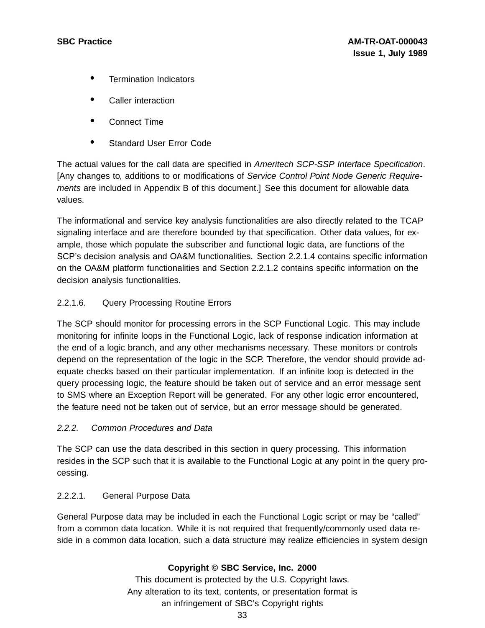- Termination Indicators
- Caller interaction
- Connect Time
- Standard User Error Code

The actual values for the call data are specified in Ameritech SCP-SSP Interface Specification. [Any changes to, additions to or modifications of Service Control Point Node Generic Requirements are included in Appendix B of this document.] See this document for allowable data values.

The informational and service key analysis functionalities are also directly related to the TCAP signaling interface and are therefore bounded by that specification. Other data values, for example, those which populate the subscriber and functional logic data, are functions of the SCP's decision analysis and OA&M functionalities. Section 2.2.1.4 contains specific information on the OA&M platform functionalities and Section 2.2.1.2 contains specific information on the decision analysis functionalities.

## 2.2.1.6. Query Processing Routine Errors

The SCP should monitor for processing errors in the SCP Functional Logic. This may include monitoring for infinite loops in the Functional Logic, lack of response indication information at the end of a logic branch, and any other mechanisms necessary. These monitors or controls depend on the representation of the logic in the SCP. Therefore, the vendor should provide adequate checks based on their particular implementation. If an infinite loop is detected in the query processing logic, the feature should be taken out of service and an error message sent to SMS where an Exception Report will be generated. For any other logic error encountered, the feature need not be taken out of service, but an error message should be generated.

## 2.2.2. Common Procedures and Data

The SCP can use the data described in this section in query processing. This information resides in the SCP such that it is available to the Functional Logic at any point in the query processing.

## 2.2.2.1. General Purpose Data

General Purpose data may be included in each the Functional Logic script or may be "called" from a common data location. While it is not required that frequently/commonly used data reside in a common data location, such a data structure may realize efficiencies in system design

## **Copyright © SBC Service, Inc. 2000**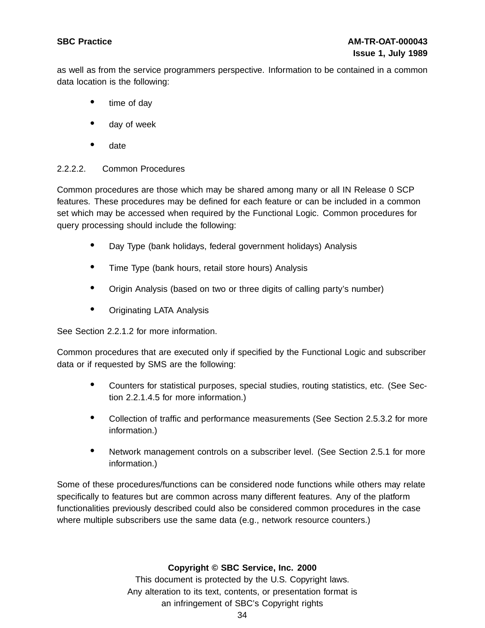as well as from the service programmers perspective. Information to be contained in a common data location is the following:

- time of day
- day of week
- date

## 2.2.2.2. Common Procedures

Common procedures are those which may be shared among many or all IN Release 0 SCP features. These procedures may be defined for each feature or can be included in a common set which may be accessed when required by the Functional Logic. Common procedures for query processing should include the following:

- Day Type (bank holidays, federal government holidays) Analysis
- Time Type (bank hours, retail store hours) Analysis
- Origin Analysis (based on two or three digits of calling party's number)
- Originating LATA Analysis

See Section 2.2.1.2 for more information.

Common procedures that are executed only if specified by the Functional Logic and subscriber data or if requested by SMS are the following:

- Counters for statistical purposes, special studies, routing statistics, etc. (See Section 2.2.1.4.5 for more information.)
- Collection of traffic and performance measurements (See Section 2.5.3.2 for more information.)
- Network management controls on a subscriber level. (See Section 2.5.1 for more information.)

Some of these procedures/functions can be considered node functions while others may relate specifically to features but are common across many different features. Any of the platform functionalities previously described could also be considered common procedures in the case where multiple subscribers use the same data (e.g., network resource counters.)

## **Copyright © SBC Service, Inc. 2000**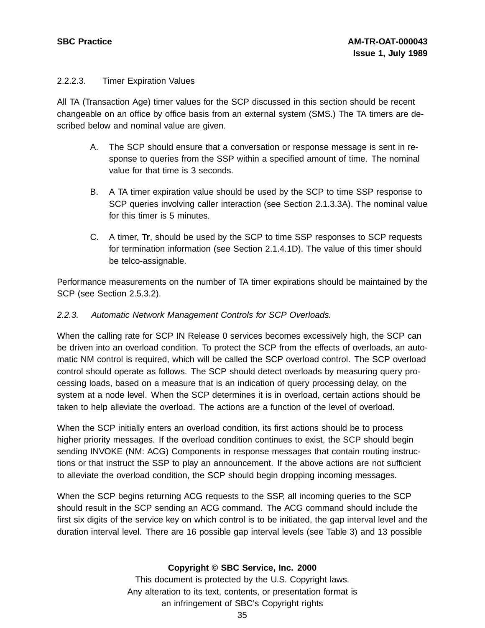## 2.2.2.3. Timer Expiration Values

All TA (Transaction Age) timer values for the SCP discussed in this section should be recent changeable on an office by office basis from an external system (SMS.) The TA timers are described below and nominal value are given.

- A. The SCP should ensure that a conversation or response message is sent in response to queries from the SSP within a specified amount of time. The nominal value for that time is 3 seconds.
- B. A TA timer expiration value should be used by the SCP to time SSP response to SCP queries involving caller interaction (see Section 2.1.3.3A). The nominal value for this timer is 5 minutes.
- C. A timer, **Tr**, should be used by the SCP to time SSP responses to SCP requests for termination information (see Section 2.1.4.1D). The value of this timer should be telco-assignable.

Performance measurements on the number of TA timer expirations should be maintained by the SCP (see Section 2.5.3.2).

## 2.2.3. Automatic Network Management Controls for SCP Overloads.

When the calling rate for SCP IN Release 0 services becomes excessively high, the SCP can be driven into an overload condition. To protect the SCP from the effects of overloads, an automatic NM control is required, which will be called the SCP overload control. The SCP overload control should operate as follows. The SCP should detect overloads by measuring query processing loads, based on a measure that is an indication of query processing delay, on the system at a node level. When the SCP determines it is in overload, certain actions should be taken to help alleviate the overload. The actions are a function of the level of overload.

When the SCP initially enters an overload condition, its first actions should be to process higher priority messages. If the overload condition continues to exist, the SCP should begin sending INVOKE (NM: ACG) Components in response messages that contain routing instructions or that instruct the SSP to play an announcement. If the above actions are not sufficient to alleviate the overload condition, the SCP should begin dropping incoming messages.

When the SCP begins returning ACG requests to the SSP, all incoming queries to the SCP should result in the SCP sending an ACG command. The ACG command should include the first six digits of the service key on which control is to be initiated, the gap interval level and the duration interval level. There are 16 possible gap interval levels (see Table 3) and 13 possible

## **Copyright © SBC Service, Inc. 2000**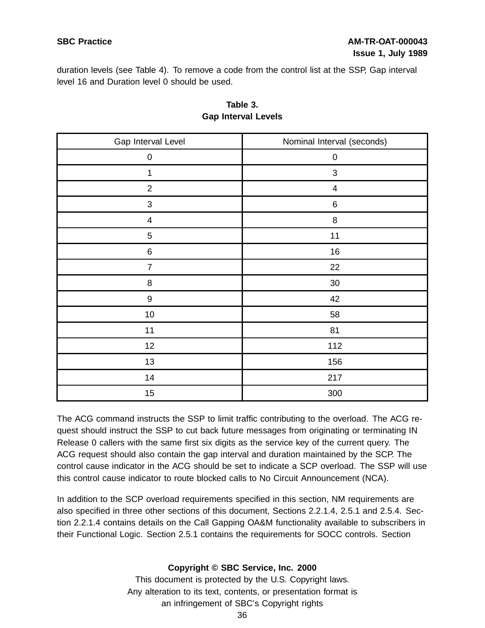duration levels (see Table 4). To remove a code from the control list at the SSP, Gap interval level 16 and Duration level 0 should be used.

| Gap Interval Level | Nominal Interval (seconds) |
|--------------------|----------------------------|
| $\pmb{0}$          | $\pmb{0}$                  |
| $\mathbf 1$        | $\ensuremath{\mathsf{3}}$  |
| $\mathbf 2$        | $\overline{\mathcal{A}}$   |
| 3                  | $\,6\,$                    |
| $\overline{4}$     | $\bf 8$                    |
| $\mathbf 5$        | 11                         |
| $\,6\,$            | 16                         |
| $\overline{7}$     | 22                         |
| $\, 8$             | $30\,$                     |
| $\boldsymbol{9}$   | 42                         |
| $10$               | 58                         |
| 11                 | 81                         |
| 12                 | 112                        |
| 13                 | 156                        |
| 14                 | 217                        |
| 15                 | 300                        |

## **Table 3. Gap Interval Levels**

The ACG command instructs the SSP to limit traffic contributing to the overload. The ACG request should instruct the SSP to cut back future messages from originating or terminating IN Release 0 callers with the same first six digits as the service key of the current query. The ACG request should also contain the gap interval and duration maintained by the SCP. The control cause indicator in the ACG should be set to indicate a SCP overload. The SSP will use this control cause indicator to route blocked calls to No Circuit Announcement (NCA).

In addition to the SCP overload requirements specified in this section, NM requirements are also specified in three other sections of this document, Sections 2.2.1.4, 2.5.1 and 2.5.4. Section 2.2.1.4 contains details on the Call Gapping OA&M functionality available to subscribers in their Functional Logic. Section 2.5.1 contains the requirements for SOCC controls. Section

## **Copyright © SBC Service, Inc. 2000**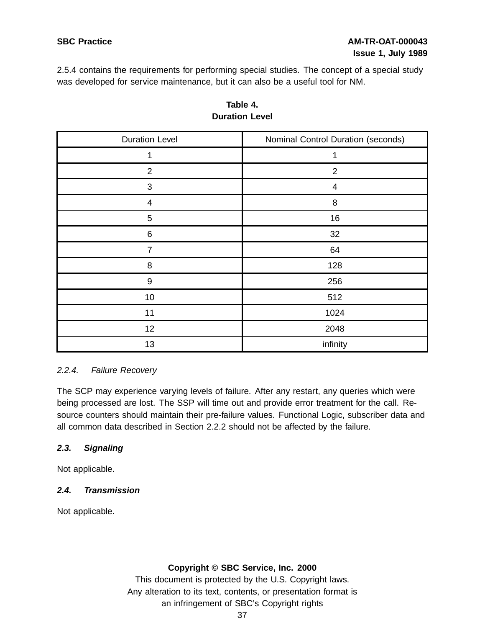2.5.4 contains the requirements for performing special studies. The concept of a special study was developed for service maintenance, but it can also be a useful tool for NM.

| <b>Duration Level</b> | Nominal Control Duration (seconds) |
|-----------------------|------------------------------------|
| 1                     | 1                                  |
| $\overline{2}$        | $\overline{2}$                     |
| $\sqrt{3}$            | $\overline{4}$                     |
| $\overline{4}$        | 8                                  |
| $\mathbf 5$           | 16                                 |
| $\,6$                 | 32                                 |
| $\overline{7}$        | 64                                 |
| $\,8\,$               | 128                                |
| $\boldsymbol{9}$      | 256                                |
| 10                    | 512                                |
| 11                    | 1024                               |
| 12                    | 2048                               |
| 13                    | infinity                           |

## **Table 4. Duration Level**

## 2.2.4. Failure Recovery

The SCP may experience varying levels of failure. After any restart, any queries which were being processed are lost. The SSP will time out and provide error treatment for the call. Resource counters should maintain their pre-failure values. Functional Logic, subscriber data and all common data described in Section 2.2.2 should not be affected by the failure.

## **2.3. Signaling**

Not applicable.

## **2.4. Transmission**

Not applicable.

## **Copyright © SBC Service, Inc. 2000**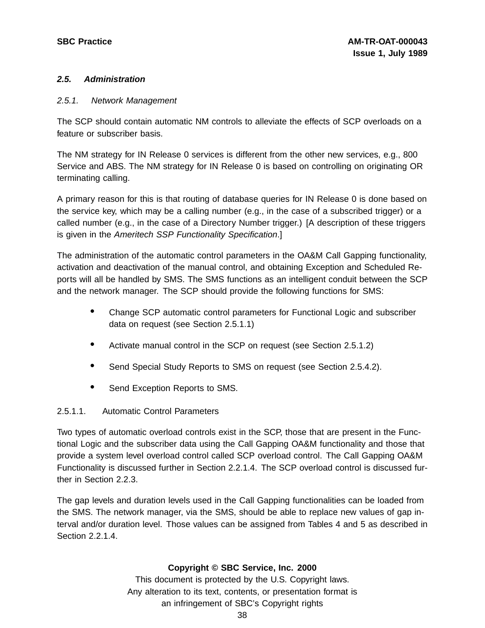## **2.5. Administration**

#### 2.5.1. Network Management

The SCP should contain automatic NM controls to alleviate the effects of SCP overloads on a feature or subscriber basis.

The NM strategy for IN Release 0 services is different from the other new services, e.g., 800 Service and ABS. The NM strategy for IN Release 0 is based on controlling on originating OR terminating calling.

A primary reason for this is that routing of database queries for IN Release 0 is done based on the service key, which may be a calling number (e.g., in the case of a subscribed trigger) or a called number (e.g., in the case of a Directory Number trigger.) [A description of these triggers is given in the Ameritech SSP Functionality Specification.]

The administration of the automatic control parameters in the OA&M Call Gapping functionality, activation and deactivation of the manual control, and obtaining Exception and Scheduled Reports will all be handled by SMS. The SMS functions as an intelligent conduit between the SCP and the network manager. The SCP should provide the following functions for SMS:

- Change SCP automatic control parameters for Functional Logic and subscriber data on request (see Section 2.5.1.1)
- Activate manual control in the SCP on request (see Section 2.5.1.2)
- Send Special Study Reports to SMS on request (see Section 2.5.4.2).
- Send Exception Reports to SMS.

## 2.5.1.1. Automatic Control Parameters

Two types of automatic overload controls exist in the SCP, those that are present in the Functional Logic and the subscriber data using the Call Gapping OA&M functionality and those that provide a system level overload control called SCP overload control. The Call Gapping OA&M Functionality is discussed further in Section 2.2.1.4. The SCP overload control is discussed further in Section 2.2.3.

The gap levels and duration levels used in the Call Gapping functionalities can be loaded from the SMS. The network manager, via the SMS, should be able to replace new values of gap interval and/or duration level. Those values can be assigned from Tables 4 and 5 as described in Section 2.2.1.4.

## **Copyright © SBC Service, Inc. 2000**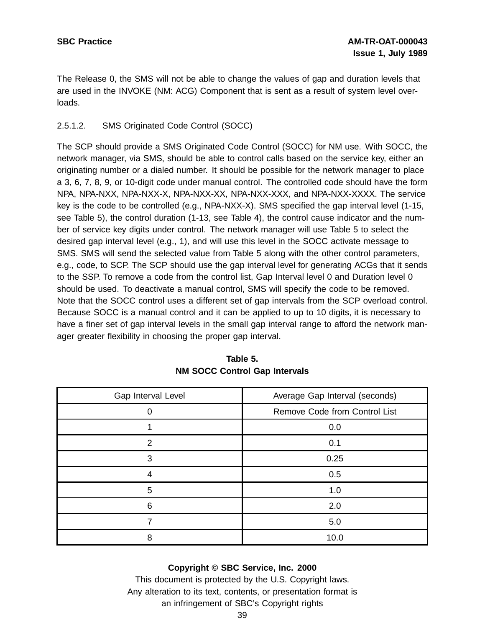The Release 0, the SMS will not be able to change the values of gap and duration levels that are used in the INVOKE (NM: ACG) Component that is sent as a result of system level overloads.

## 2.5.1.2. SMS Originated Code Control (SOCC)

The SCP should provide a SMS Originated Code Control (SOCC) for NM use. With SOCC, the network manager, via SMS, should be able to control calls based on the service key, either an originating number or a dialed number. It should be possible for the network manager to place a 3, 6, 7, 8, 9, or 10-digit code under manual control. The controlled code should have the form NPA, NPA-NXX, NPA-NXX-X, NPA-NXX-XX, NPA-NXX-XXX, and NPA-NXX-XXXX. The service key is the code to be controlled (e.g., NPA-NXX-X). SMS specified the gap interval level (1-15, see Table 5), the control duration (1-13, see Table 4), the control cause indicator and the number of service key digits under control. The network manager will use Table 5 to select the desired gap interval level (e.g., 1), and will use this level in the SOCC activate message to SMS. SMS will send the selected value from Table 5 along with the other control parameters, e.g., code, to SCP. The SCP should use the gap interval level for generating ACGs that it sends to the SSP. To remove a code from the control list, Gap Interval level 0 and Duration level 0 should be used. To deactivate a manual control, SMS will specify the code to be removed. Note that the SOCC control uses a different set of gap intervals from the SCP overload control. Because SOCC is a manual control and it can be applied to up to 10 digits, it is necessary to have a finer set of gap interval levels in the small gap interval range to afford the network manager greater flexibility in choosing the proper gap interval.

| Gap Interval Level | Average Gap Interval (seconds) |
|--------------------|--------------------------------|
|                    | Remove Code from Control List  |
|                    | 0.0                            |
| 2                  | 0.1                            |
| 3                  | 0.25                           |
| 4                  | 0.5                            |
| 5                  | 1.0                            |
| 6                  | 2.0                            |
|                    | 5.0                            |
| 8                  | 10.0                           |

## **Table 5. NM SOCC Control Gap Intervals**

## **Copyright © SBC Service, Inc. 2000**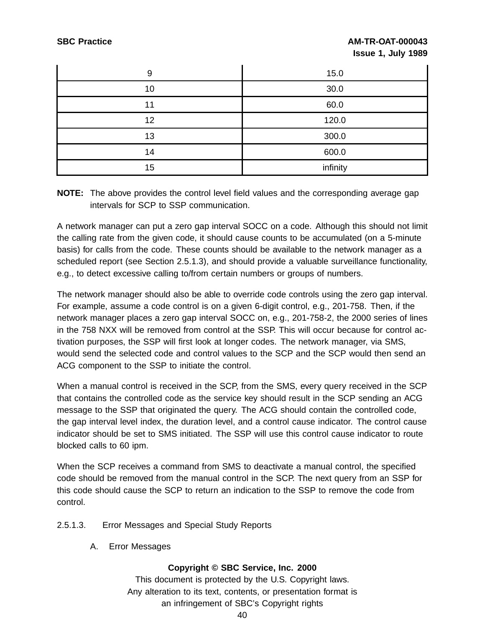## **SBC Practice AM-TR-OAT-000043 Issue 1, July 1989**

| 9  | 15.0     |
|----|----------|
| 10 | 30.0     |
| 11 | 60.0     |
| 12 | 120.0    |
| 13 | 300.0    |
| 14 | 600.0    |
| 15 | infinity |

**NOTE:** The above provides the control level field values and the corresponding average gap intervals for SCP to SSP communication.

A network manager can put a zero gap interval SOCC on a code. Although this should not limit the calling rate from the given code, it should cause counts to be accumulated (on a 5-minute basis) for calls from the code. These counts should be available to the network manager as a scheduled report (see Section 2.5.1.3), and should provide a valuable surveillance functionality, e.g., to detect excessive calling to/from certain numbers or groups of numbers.

The network manager should also be able to override code controls using the zero gap interval. For example, assume a code control is on a given 6-digit control, e.g., 201-758. Then, if the network manager places a zero gap interval SOCC on, e.g., 201-758-2, the 2000 series of lines in the 758 NXX will be removed from control at the SSP. This will occur because for control activation purposes, the SSP will first look at longer codes. The network manager, via SMS, would send the selected code and control values to the SCP and the SCP would then send an ACG component to the SSP to initiate the control.

When a manual control is received in the SCP, from the SMS, every query received in the SCP that contains the controlled code as the service key should result in the SCP sending an ACG message to the SSP that originated the query. The ACG should contain the controlled code, the gap interval level index, the duration level, and a control cause indicator. The control cause indicator should be set to SMS initiated. The SSP will use this control cause indicator to route blocked calls to 60 ipm.

When the SCP receives a command from SMS to deactivate a manual control, the specified code should be removed from the manual control in the SCP. The next query from an SSP for this code should cause the SCP to return an indication to the SSP to remove the code from control.

- 2.5.1.3. Error Messages and Special Study Reports
	- A. Error Messages

## **Copyright © SBC Service, Inc. 2000**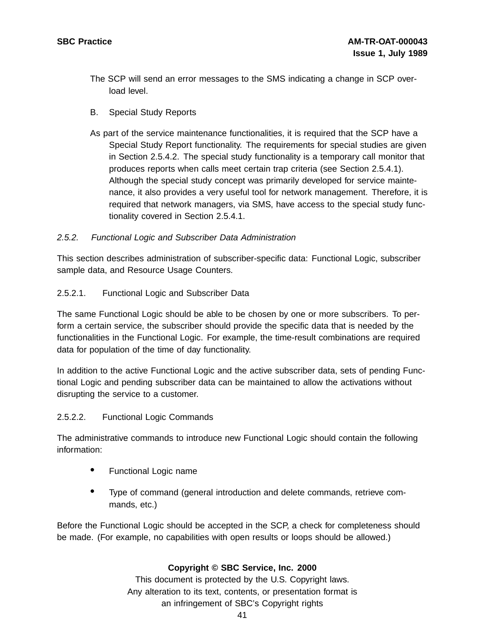- The SCP will send an error messages to the SMS indicating a change in SCP overload level.
- B. Special Study Reports
- As part of the service maintenance functionalities, it is required that the SCP have a Special Study Report functionality. The requirements for special studies are given in Section 2.5.4.2. The special study functionality is a temporary call monitor that produces reports when calls meet certain trap criteria (see Section 2.5.4.1). Although the special study concept was primarily developed for service maintenance, it also provides a very useful tool for network management. Therefore, it is required that network managers, via SMS, have access to the special study functionality covered in Section 2.5.4.1.

## 2.5.2. Functional Logic and Subscriber Data Administration

This section describes administration of subscriber-specific data: Functional Logic, subscriber sample data, and Resource Usage Counters.

#### 2.5.2.1. Functional Logic and Subscriber Data

The same Functional Logic should be able to be chosen by one or more subscribers. To perform a certain service, the subscriber should provide the specific data that is needed by the functionalities in the Functional Logic. For example, the time-result combinations are required data for population of the time of day functionality.

In addition to the active Functional Logic and the active subscriber data, sets of pending Functional Logic and pending subscriber data can be maintained to allow the activations without disrupting the service to a customer.

#### 2.5.2.2. Functional Logic Commands

The administrative commands to introduce new Functional Logic should contain the following information:

- Functional Logic name
- Type of command (general introduction and delete commands, retrieve commands, etc.)

Before the Functional Logic should be accepted in the SCP, a check for completeness should be made. (For example, no capabilities with open results or loops should be allowed.)

## **Copyright © SBC Service, Inc. 2000**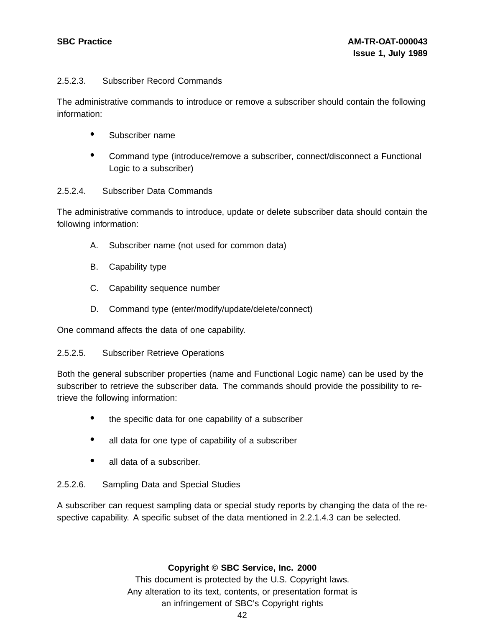## 2.5.2.3. Subscriber Record Commands

The administrative commands to introduce or remove a subscriber should contain the following information:

- Subscriber name
- Command type (introduce/remove <sup>a</sup> subscriber, connect/disconnect <sup>a</sup> Functional Logic to a subscriber)

## 2.5.2.4. Subscriber Data Commands

The administrative commands to introduce, update or delete subscriber data should contain the following information:

- A. Subscriber name (not used for common data)
- B. Capability type
- C. Capability sequence number
- D. Command type (enter/modify/update/delete/connect)

One command affects the data of one capability.

## 2.5.2.5. Subscriber Retrieve Operations

Both the general subscriber properties (name and Functional Logic name) can be used by the subscriber to retrieve the subscriber data. The commands should provide the possibility to retrieve the following information:

- the specific data for one capability of a subscriber
- all data for one type of capability of a subscriber
- all data of a subscriber.

## 2.5.2.6. Sampling Data and Special Studies

A subscriber can request sampling data or special study reports by changing the data of the respective capability. A specific subset of the data mentioned in 2.2.1.4.3 can be selected.

## **Copyright © SBC Service, Inc. 2000**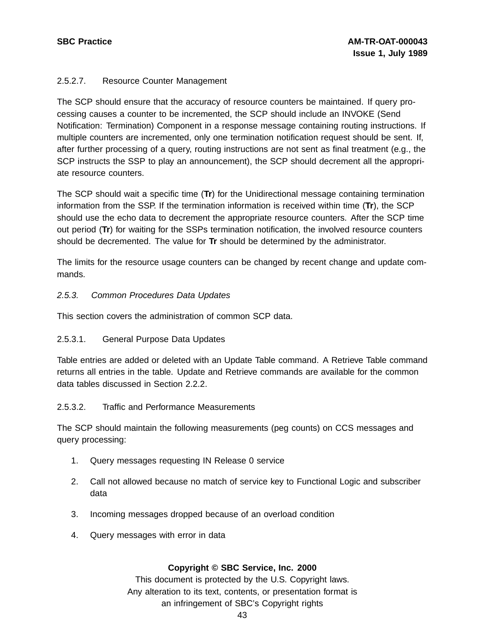## 2.5.2.7. Resource Counter Management

The SCP should ensure that the accuracy of resource counters be maintained. If query processing causes a counter to be incremented, the SCP should include an INVOKE (Send Notification: Termination) Component in a response message containing routing instructions. If multiple counters are incremented, only one termination notification request should be sent. If, after further processing of a query, routing instructions are not sent as final treatment (e.g., the SCP instructs the SSP to play an announcement), the SCP should decrement all the appropriate resource counters.

The SCP should wait a specific time (**Tr**) for the Unidirectional message containing termination information from the SSP. If the termination information is received within time (**Tr**), the SCP should use the echo data to decrement the appropriate resource counters. After the SCP time out period (**Tr**) for waiting for the SSPs termination notification, the involved resource counters should be decremented. The value for **Tr** should be determined by the administrator.

The limits for the resource usage counters can be changed by recent change and update commands.

## 2.5.3. Common Procedures Data Updates

This section covers the administration of common SCP data.

## 2.5.3.1. General Purpose Data Updates

Table entries are added or deleted with an Update Table command. A Retrieve Table command returns all entries in the table. Update and Retrieve commands are available for the common data tables discussed in Section 2.2.2.

## 2.5.3.2. Traffic and Performance Measurements

The SCP should maintain the following measurements (peg counts) on CCS messages and query processing:

- 1. Query messages requesting IN Release 0 service
- 2. Call not allowed because no match of service key to Functional Logic and subscriber data
- 3. Incoming messages dropped because of an overload condition
- 4. Query messages with error in data

## **Copyright © SBC Service, Inc. 2000**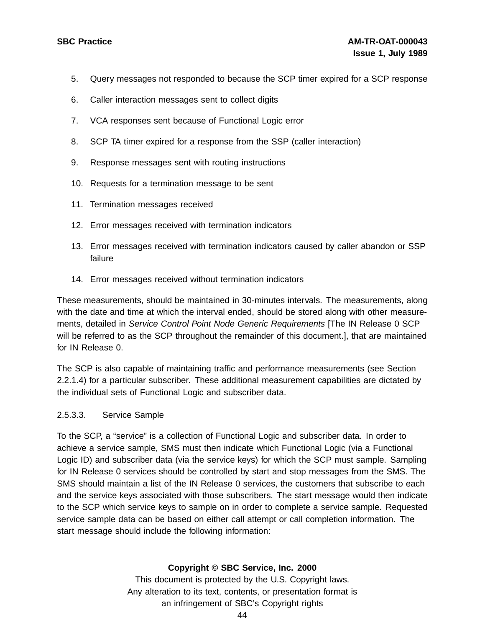- 5. Query messages not responded to because the SCP timer expired for a SCP response
- 6. Caller interaction messages sent to collect digits
- 7. VCA responses sent because of Functional Logic error
- 8. SCP TA timer expired for a response from the SSP (caller interaction)
- 9. Response messages sent with routing instructions
- 10. Requests for a termination message to be sent
- 11. Termination messages received
- 12. Error messages received with termination indicators
- 13. Error messages received with termination indicators caused by caller abandon or SSP failure
- 14. Error messages received without termination indicators

These measurements, should be maintained in 30-minutes intervals. The measurements, along with the date and time at which the interval ended, should be stored along with other measurements, detailed in Service Control Point Node Generic Requirements [The IN Release 0 SCP will be referred to as the SCP throughout the remainder of this document.], that are maintained for IN Release 0.

The SCP is also capable of maintaining traffic and performance measurements (see Section 2.2.1.4) for a particular subscriber. These additional measurement capabilities are dictated by the individual sets of Functional Logic and subscriber data.

#### 2.5.3.3. Service Sample

To the SCP, a "service" is a collection of Functional Logic and subscriber data. In order to achieve a service sample, SMS must then indicate which Functional Logic (via a Functional Logic ID) and subscriber data (via the service keys) for which the SCP must sample. Sampling for IN Release 0 services should be controlled by start and stop messages from the SMS. The SMS should maintain a list of the IN Release 0 services, the customers that subscribe to each and the service keys associated with those subscribers. The start message would then indicate to the SCP which service keys to sample on in order to complete a service sample. Requested service sample data can be based on either call attempt or call completion information. The start message should include the following information:

## **Copyright © SBC Service, Inc. 2000**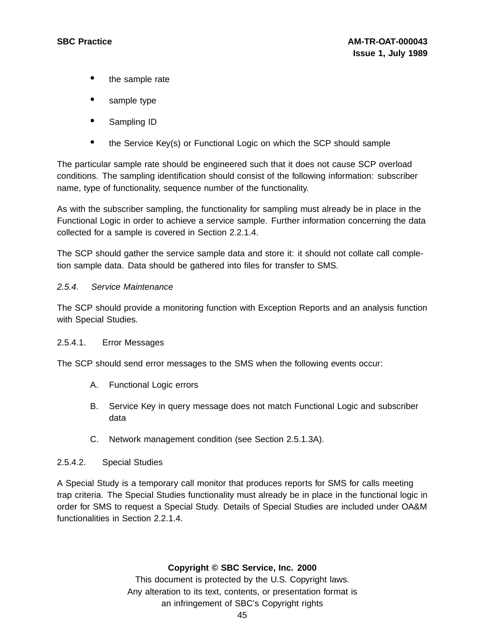- the sample rate
- sample type
- Sampling ID
- the Service Key(s) or Functional Logic on which the SCP should sample

The particular sample rate should be engineered such that it does not cause SCP overload conditions. The sampling identification should consist of the following information: subscriber name, type of functionality, sequence number of the functionality.

As with the subscriber sampling, the functionality for sampling must already be in place in the Functional Logic in order to achieve a service sample. Further information concerning the data collected for a sample is covered in Section 2.2.1.4.

The SCP should gather the service sample data and store it: it should not collate call completion sample data. Data should be gathered into files for transfer to SMS.

#### 2.5.4. Service Maintenance

The SCP should provide a monitoring function with Exception Reports and an analysis function with Special Studies.

#### 2.5.4.1. Error Messages

The SCP should send error messages to the SMS when the following events occur:

- A. Functional Logic errors
- B. Service Key in query message does not match Functional Logic and subscriber data
- C. Network management condition (see Section 2.5.1.3A).

#### 2.5.4.2. Special Studies

A Special Study is a temporary call monitor that produces reports for SMS for calls meeting trap criteria. The Special Studies functionality must already be in place in the functional logic in order for SMS to request a Special Study. Details of Special Studies are included under OA&M functionalities in Section 2.2.1.4.

#### **Copyright © SBC Service, Inc. 2000**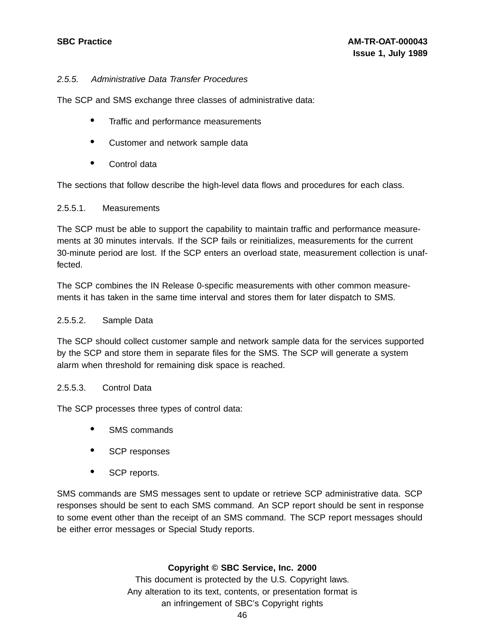## 2.5.5. Administrative Data Transfer Procedures

The SCP and SMS exchange three classes of administrative data:

- Traffic and performance measurements
- Customer and network sample data
- Control data

The sections that follow describe the high-level data flows and procedures for each class.

#### 2.5.5.1. Measurements

The SCP must be able to support the capability to maintain traffic and performance measurements at 30 minutes intervals. If the SCP fails or reinitializes, measurements for the current 30-minute period are lost. If the SCP enters an overload state, measurement collection is unaffected.

The SCP combines the IN Release 0-specific measurements with other common measurements it has taken in the same time interval and stores them for later dispatch to SMS.

## 2.5.5.2. Sample Data

The SCP should collect customer sample and network sample data for the services supported by the SCP and store them in separate files for the SMS. The SCP will generate a system alarm when threshold for remaining disk space is reached.

## 2.5.5.3. Control Data

The SCP processes three types of control data:

- SMS commands
- SCP responses
- SCP reports.

SMS commands are SMS messages sent to update or retrieve SCP administrative data. SCP responses should be sent to each SMS command. An SCP report should be sent in response to some event other than the receipt of an SMS command. The SCP report messages should be either error messages or Special Study reports.

## **Copyright © SBC Service, Inc. 2000**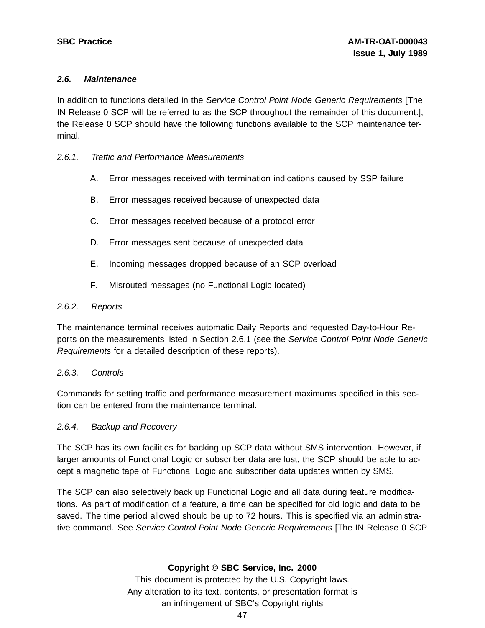#### **2.6. Maintenance**

In addition to functions detailed in the Service Control Point Node Generic Requirements [The IN Release 0 SCP will be referred to as the SCP throughout the remainder of this document.], the Release 0 SCP should have the following functions available to the SCP maintenance terminal.

#### 2.6.1. Traffic and Performance Measurements

- A. Error messages received with termination indications caused by SSP failure
- B. Error messages received because of unexpected data
- C. Error messages received because of a protocol error
- D. Error messages sent because of unexpected data
- E. Incoming messages dropped because of an SCP overload
- F. Misrouted messages (no Functional Logic located)

#### 2.6.2. Reports

The maintenance terminal receives automatic Daily Reports and requested Day-to-Hour Reports on the measurements listed in Section 2.6.1 (see the Service Control Point Node Generic Requirements for a detailed description of these reports).

## 2.6.3. Controls

Commands for setting traffic and performance measurement maximums specified in this section can be entered from the maintenance terminal.

## 2.6.4. Backup and Recovery

The SCP has its own facilities for backing up SCP data without SMS intervention. However, if larger amounts of Functional Logic or subscriber data are lost, the SCP should be able to accept a magnetic tape of Functional Logic and subscriber data updates written by SMS.

The SCP can also selectively back up Functional Logic and all data during feature modifications. As part of modification of a feature, a time can be specified for old logic and data to be saved. The time period allowed should be up to 72 hours. This is specified via an administrative command. See Service Control Point Node Generic Requirements [The IN Release 0 SCP

## **Copyright © SBC Service, Inc. 2000**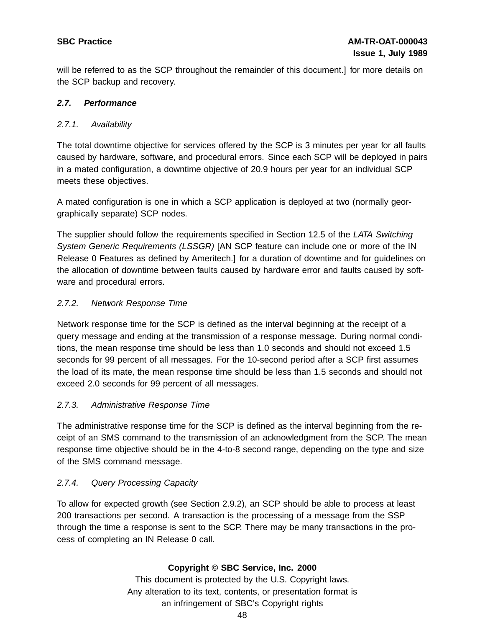will be referred to as the SCP throughout the remainder of this document.] for more details on the SCP backup and recovery.

## **2.7. Performance**

## 2.7.1. Availability

The total downtime objective for services offered by the SCP is 3 minutes per year for all faults caused by hardware, software, and procedural errors. Since each SCP will be deployed in pairs in a mated configuration, a downtime objective of 20.9 hours per year for an individual SCP meets these objectives.

A mated configuration is one in which a SCP application is deployed at two (normally georgraphically separate) SCP nodes.

The supplier should follow the requirements specified in Section 12.5 of the LATA Switching System Generic Requirements (LSSGR) [AN SCP feature can include one or more of the IN Release 0 Features as defined by Ameritech.] for a duration of downtime and for guidelines on the allocation of downtime between faults caused by hardware error and faults caused by software and procedural errors.

## 2.7.2. Network Response Time

Network response time for the SCP is defined as the interval beginning at the receipt of a query message and ending at the transmission of a response message. During normal conditions, the mean response time should be less than 1.0 seconds and should not exceed 1.5 seconds for 99 percent of all messages. For the 10-second period after a SCP first assumes the load of its mate, the mean response time should be less than 1.5 seconds and should not exceed 2.0 seconds for 99 percent of all messages.

## 2.7.3. Administrative Response Time

The administrative response time for the SCP is defined as the interval beginning from the receipt of an SMS command to the transmission of an acknowledgment from the SCP. The mean response time objective should be in the 4-to-8 second range, depending on the type and size of the SMS command message.

## 2.7.4. Query Processing Capacity

To allow for expected growth (see Section 2.9.2), an SCP should be able to process at least 200 transactions per second. A transaction is the processing of a message from the SSP through the time a response is sent to the SCP. There may be many transactions in the process of completing an IN Release 0 call.

## **Copyright © SBC Service, Inc. 2000**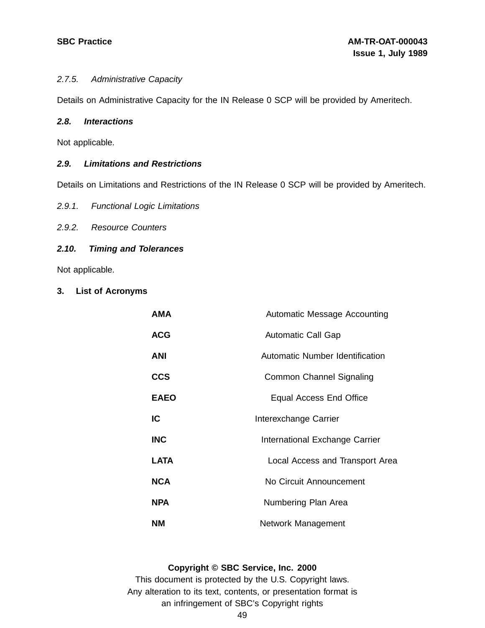#### 2.7.5. Administrative Capacity

Details on Administrative Capacity for the IN Release 0 SCP will be provided by Ameritech.

#### **2.8. Interactions**

Not applicable.

## **2.9. Limitations and Restrictions**

Details on Limitations and Restrictions of the IN Release 0 SCP will be provided by Ameritech.

- 2.9.1. Functional Logic Limitations
- 2.9.2. Resource Counters

## **2.10. Timing and Tolerances**

Not applicable.

**3. List of Acronyms**

| <b>AMA</b>  | Automatic Message Accounting    |
|-------------|---------------------------------|
| <b>ACG</b>  | <b>Automatic Call Gap</b>       |
| <b>ANI</b>  | Automatic Number Identification |
| <b>CCS</b>  | Common Channel Signaling        |
| <b>EAEO</b> | Equal Access End Office         |
| IC          | Interexchange Carrier           |
| <b>INC</b>  | International Exchange Carrier  |
| <b>LATA</b> | Local Access and Transport Area |
| <b>NCA</b>  | No Circuit Announcement         |
| <b>NPA</b>  | Numbering Plan Area             |
| NΜ          | Network Management              |

#### **Copyright © SBC Service, Inc. 2000**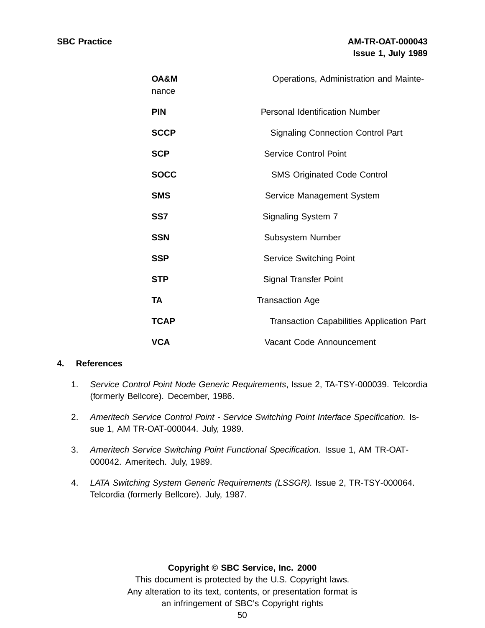| OA&M<br>nance | Operations, Administration and Mainte-           |
|---------------|--------------------------------------------------|
| <b>PIN</b>    | <b>Personal Identification Number</b>            |
| <b>SCCP</b>   | <b>Signaling Connection Control Part</b>         |
| <b>SCP</b>    | <b>Service Control Point</b>                     |
| <b>SOCC</b>   | <b>SMS Originated Code Control</b>               |
| <b>SMS</b>    | Service Management System                        |
| SS7           | Signaling System 7                               |
| <b>SSN</b>    | Subsystem Number                                 |
| <b>SSP</b>    | <b>Service Switching Point</b>                   |
| <b>STP</b>    | Signal Transfer Point                            |
| TA            | <b>Transaction Age</b>                           |
| <b>TCAP</b>   | <b>Transaction Capabilities Application Part</b> |
| <b>VCA</b>    | Vacant Code Announcement                         |

## **4. References**

- 1. Service Control Point Node Generic Requirements, Issue 2, TA-TSY-000039. Telcordia (formerly Bellcore). December, 1986.
- 2. Ameritech Service Control Point Service Switching Point Interface Specification. Issue 1, AM TR-OAT-000044. July, 1989.
- 3. Ameritech Service Switching Point Functional Specification. Issue 1, AM TR-OAT-000042. Ameritech. July, 1989.
- 4. LATA Switching System Generic Requirements (LSSGR). Issue 2, TR-TSY-000064. Telcordia (formerly Bellcore). July, 1987.

## **Copyright © SBC Service, Inc. 2000**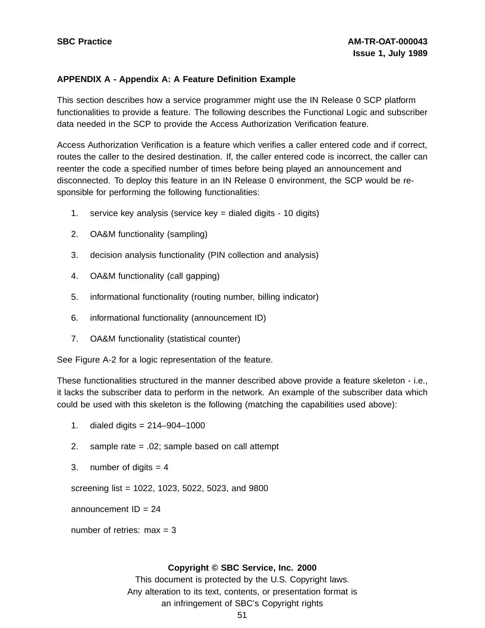## **APPENDIX A - Appendix A: A Feature Definition Example**

This section describes how a service programmer might use the IN Release 0 SCP platform functionalities to provide a feature. The following describes the Functional Logic and subscriber data needed in the SCP to provide the Access Authorization Verification feature.

Access Authorization Verification is a feature which verifies a caller entered code and if correct, routes the caller to the desired destination. If, the caller entered code is incorrect, the caller can reenter the code a specified number of times before being played an announcement and disconnected. To deploy this feature in an IN Release 0 environment, the SCP would be responsible for performing the following functionalities:

- 1. service key analysis (service key = dialed digits 10 digits)
- 2. OA&M functionality (sampling)
- 3. decision analysis functionality (PIN collection and analysis)
- 4. OA&M functionality (call gapping)
- 5. informational functionality (routing number, billing indicator)
- 6. informational functionality (announcement ID)
- 7. OA&M functionality (statistical counter)

See Figure A-2 for a logic representation of the feature.

These functionalities structured in the manner described above provide a feature skeleton - i.e., it lacks the subscriber data to perform in the network. An example of the subscriber data which could be used with this skeleton is the following (matching the capabilities used above):

- 1. dialed digits = 214–904–1000
- 2. sample rate = .02; sample based on call attempt
- 3. number of digits  $= 4$

screening list = 1022, 1023, 5022, 5023, and 9800

announcement  $ID = 24$ 

number of retries:  $max = 3$ 

#### **Copyright © SBC Service, Inc. 2000**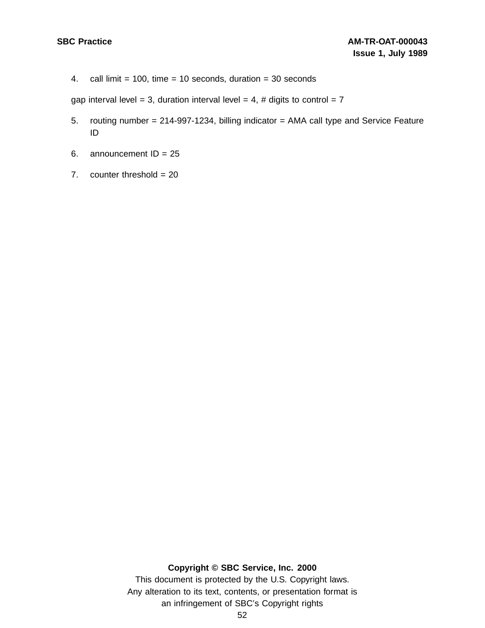4. call limit =  $100$ , time =  $10$  seconds, duration =  $30$  seconds

gap interval level = 3, duration interval level = 4, # digits to control =  $7$ 

- 5. routing number = 214-997-1234, billing indicator = AMA call type and Service Feature ID
- 6. announcement  $ID = 25$
- 7. counter threshold  $= 20$

#### **Copyright © SBC Service, Inc. 2000**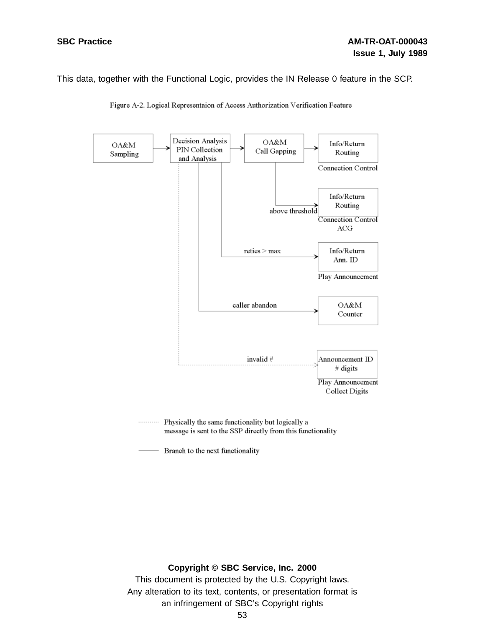This data, together with the Functional Logic, provides the IN Release 0 feature in the SCP.



Figure A-2. Logical Representaion of Access Authorization Verification Feature

Physically the same functionality but logically a . . . . . . . . . . . message is sent to the SSP directly from this functionality

Branch to the next functionality

#### **Copyright © SBC Service, Inc. 2000**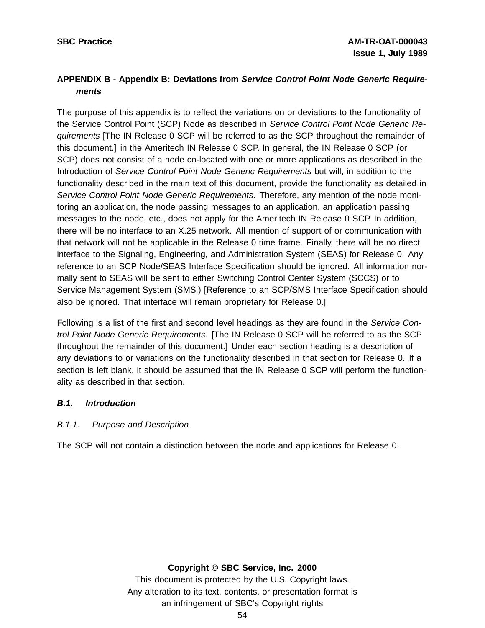## **APPENDIX B - Appendix B: Deviations from Service Control Point Node Generic Requirements**

The purpose of this appendix is to reflect the variations on or deviations to the functionality of the Service Control Point (SCP) Node as described in Service Control Point Node Generic Requirements [The IN Release 0 SCP will be referred to as the SCP throughout the remainder of this document.] in the Ameritech IN Release 0 SCP. In general, the IN Release 0 SCP (or SCP) does not consist of a node co-located with one or more applications as described in the Introduction of Service Control Point Node Generic Requirements but will, in addition to the functionality described in the main text of this document, provide the functionality as detailed in Service Control Point Node Generic Requirements. Therefore, any mention of the node monitoring an application, the node passing messages to an application, an application passing messages to the node, etc., does not apply for the Ameritech IN Release 0 SCP. In addition, there will be no interface to an X.25 network. All mention of support of or communication with that network will not be applicable in the Release 0 time frame. Finally, there will be no direct interface to the Signaling, Engineering, and Administration System (SEAS) for Release 0. Any reference to an SCP Node/SEAS Interface Specification should be ignored. All information normally sent to SEAS will be sent to either Switching Control Center System (SCCS) or to Service Management System (SMS.) [Reference to an SCP/SMS Interface Specification should also be ignored. That interface will remain proprietary for Release 0.]

Following is a list of the first and second level headings as they are found in the Service Control Point Node Generic Requirements. [The IN Release 0 SCP will be referred to as the SCP throughout the remainder of this document.] Under each section heading is a description of any deviations to or variations on the functionality described in that section for Release 0. If a section is left blank, it should be assumed that the IN Release 0 SCP will perform the functionality as described in that section.

## **B.1. Introduction**

## B.1.1. Purpose and Description

The SCP will not contain a distinction between the node and applications for Release 0.

## **Copyright © SBC Service, Inc. 2000**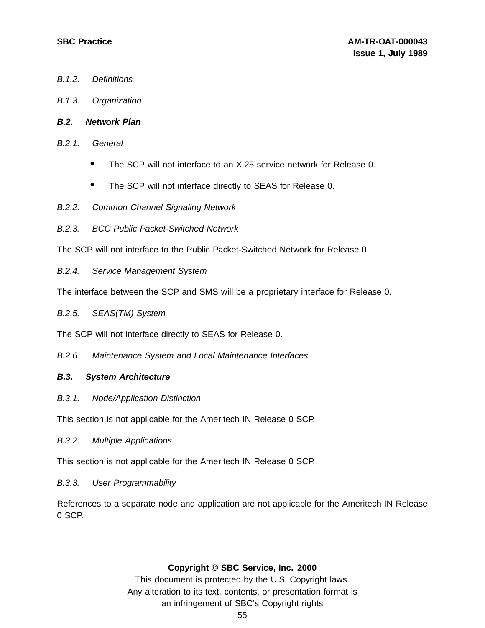- B.1.2. Definitions
- B.1.3. Organization
- **B.2. Network Plan**
- B.2.1. General
	- The SCP will not interface to an X.25 service network for Release 0.
	- The SCP will not interface directly to SEAS for Release 0.
- B.2.2. Common Channel Signaling Network
- B.2.3. BCC Public Packet-Switched Network

The SCP will not interface to the Public Packet-Switched Network for Release 0.

B.2.4. Service Management System

The interface between the SCP and SMS will be a proprietary interface for Release 0.

B.2.5. SEAS(TM) System

The SCP will not interface directly to SEAS for Release 0.

B.2.6. Maintenance System and Local Maintenance Interfaces

## **B.3. System Architecture**

B.3.1. Node/Application Distinction

This section is not applicable for the Ameritech IN Release 0 SCP.

B.3.2. Multiple Applications

This section is not applicable for the Ameritech IN Release 0 SCP.

#### B.3.3. User Programmability

References to a separate node and application are not applicable for the Ameritech IN Release 0 SCP.

#### **Copyright © SBC Service, Inc. 2000**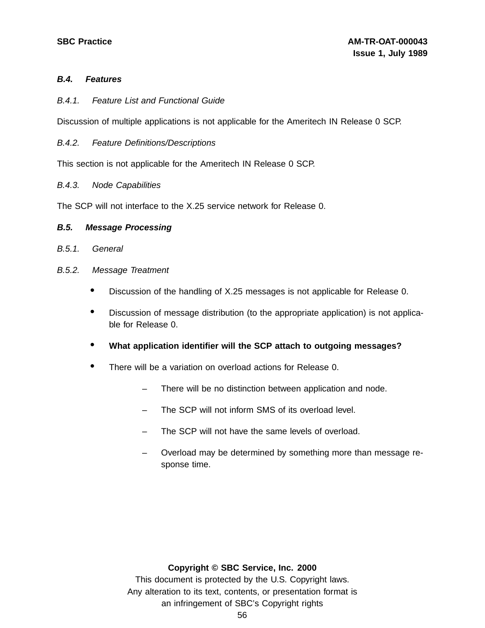## **B.4. Features**

B.4.1. Feature List and Functional Guide

Discussion of multiple applications is not applicable for the Ameritech IN Release 0 SCP.

B.4.2. Feature Definitions/Descriptions

This section is not applicable for the Ameritech IN Release 0 SCP.

B.4.3. Node Capabilities

The SCP will not interface to the X.25 service network for Release 0.

#### **B.5. Message Processing**

- B.5.1. General
- B.5.2. Message Treatment
	- Discussion of the handling of X.25 messages is not applicable for Release 0.
	- Discussion of message distribution (to the appropriate application) is not applicable for Release 0.
	- **What application identifier will the SCP attach to outgoing messages?**
	- There will be <sup>a</sup> variation on overload actions for Release 0.
		- There will be no distinction between application and node.
		- The SCP will not inform SMS of its overload level.
		- The SCP will not have the same levels of overload.
		- Overload may be determined by something more than message response time.

#### **Copyright © SBC Service, Inc. 2000**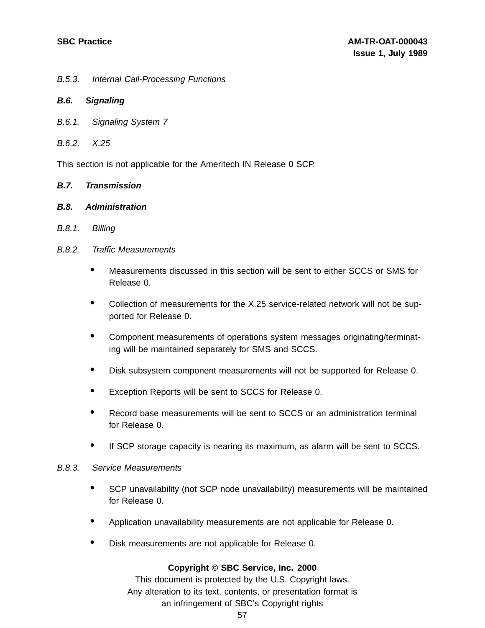B.5.3. Internal Call-Processing Functions

#### **B.6. Signaling**

- B.6.1. Signaling System 7
- B.6.2. X.25

This section is not applicable for the Ameritech IN Release 0 SCP.

#### **B.7. Transmission**

#### **B.8. Administration**

B.8.1. Billing

#### B.8.2. Traffic Measurements

- Measurements discussed in this section will be sent to either SCCS or SMS for Release 0.
- Collection of measurements for the X.25 service-related network will not be supported for Release 0.
- Component measurements of operations system messages originating/terminating will be maintained separately for SMS and SCCS.
- Disk subsystem component measurements will not be supported for Release 0.
- Exception Reports will be sent to SCCS for Release 0.
- Record base measurements will be sent to SCCS or an administration terminal for Release 0.
- If SCP storage capacity is nearing its maximum, as alarm will be sent to SCCS.

#### B.8.3. Service Measurements

- SCP unavailability (not SCP node unavailability) measurements will be maintained for Release 0.
- Application unavailability measurements are not applicable for Release 0.
- Disk measurements are not applicable for Release 0.

#### **Copyright © SBC Service, Inc. 2000**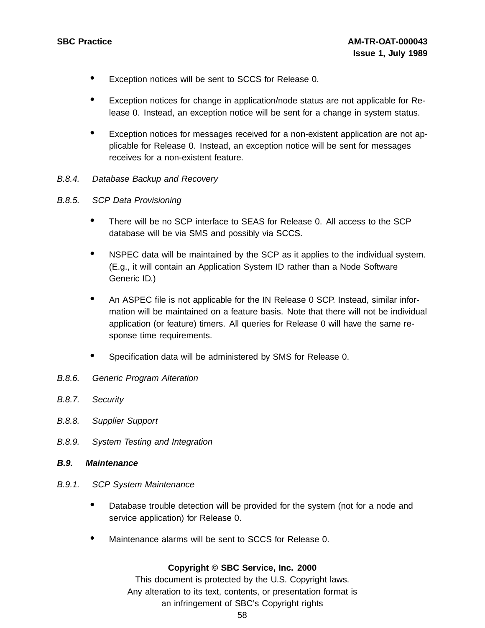- Exception notices will be sent to SCCS for Release 0.
- Exception notices for change in application/node status are not applicable for Release 0. Instead, an exception notice will be sent for a change in system status.
- Exception notices for messages received for <sup>a</sup> non-existent application are not applicable for Release 0. Instead, an exception notice will be sent for messages receives for a non-existent feature.
- B.8.4. Database Backup and Recovery
- B.8.5. SCP Data Provisioning
	- There will be no SCP interface to SEAS for Release 0. All access to the SCP database will be via SMS and possibly via SCCS.
	- NSPEC data will be maintained by the SCP as it applies to the individual system. (E.g., it will contain an Application System ID rather than a Node Software Generic ID.)
	- An ASPEC file is not applicable for the IN Release <sup>0</sup> SCP. Instead, similar information will be maintained on a feature basis. Note that there will not be individual application (or feature) timers. All queries for Release 0 will have the same response time requirements.
	- Specification data will be administered by SMS for Release 0.
- B.8.6. Generic Program Alteration
- B.8.7. Security
- B.8.8. Supplier Support
- B.8.9. System Testing and Integration
- **B.9. Maintenance**
- B.9.1. SCP System Maintenance
	- Database trouble detection will be provided for the system (not for <sup>a</sup> node and service application) for Release 0.
	- Maintenance alarms will be sent to SCCS for Release 0.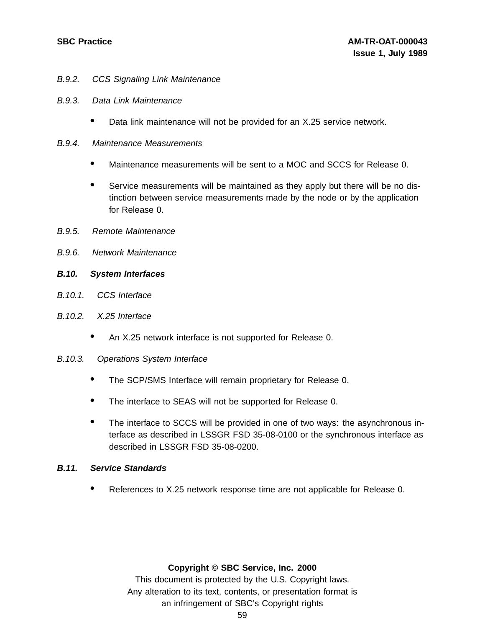- B.9.2. CCS Signaling Link Maintenance
- B.9.3. Data Link Maintenance
	- Data link maintenance will not be provided for an X.25 service network.
- B.9.4. Maintenance Measurements
	- Maintenance measurements will be sent to <sup>a</sup> MOC and SCCS for Release 0.
	- Service measurements will be maintained as they apply but there will be no distinction between service measurements made by the node or by the application for Release 0.
- B.9.5. Remote Maintenance
- B.9.6. Network Maintenance
- **B.10. System Interfaces**
- B.10.1. CCS Interface
- B.10.2. X.25 Interface
	- An X.25 network interface is not supported for Release 0.
- B.10.3. Operations System Interface
	- The SCP/SMS Interface will remain proprietary for Release 0.
	- The interface to SEAS will not be supported for Release 0.
	- The interface to SCCS will be provided in one of two ways: the asynchronous interface as described in LSSGR FSD 35-08-0100 or the synchronous interface as described in LSSGR FSD 35-08-0200.

#### **B.11. Service Standards**

• References to X.25 network response time are not applicable for Release 0.

#### **Copyright © SBC Service, Inc. 2000**